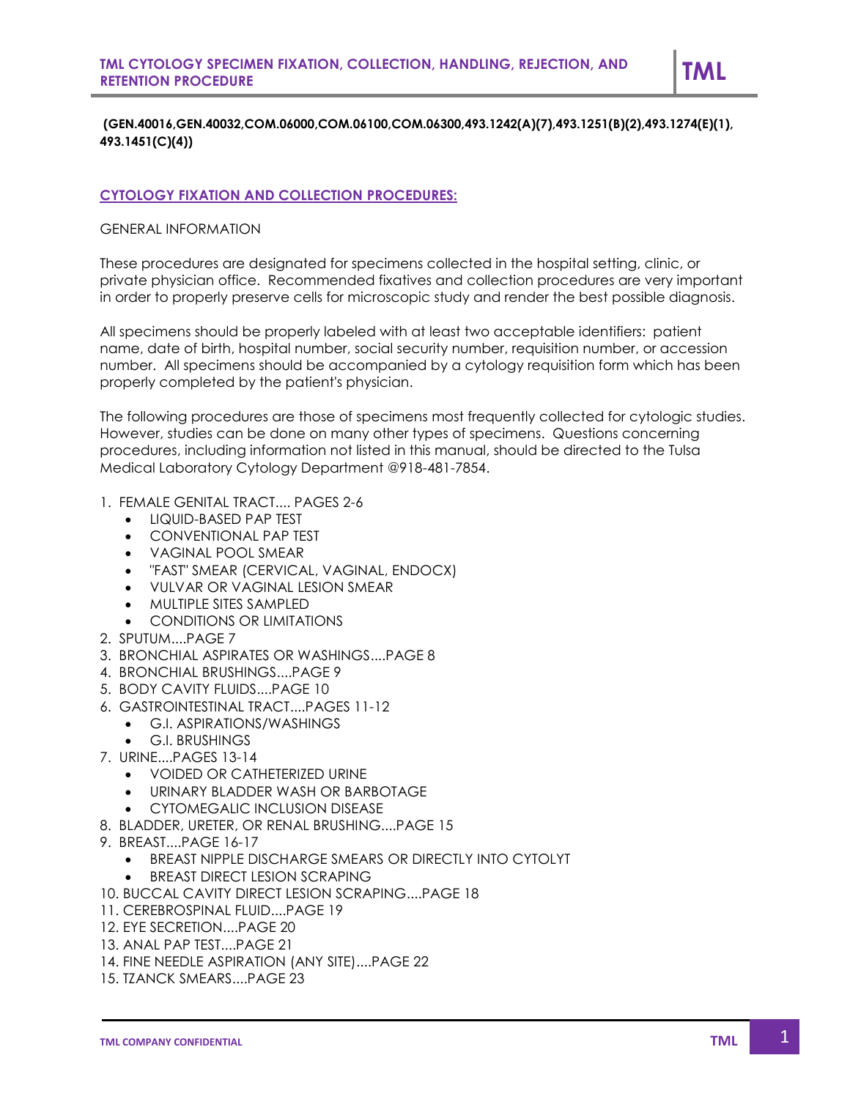# **(GEN.40016,GEN.40032,COM.06000,COM.06100,COM.06300,493.1242(A)(7),493.1251(B)(2),493.1274(E)(1), 493.1451(C)(4))**

# **CYTOLOGY FIXATION AND COLLECTION PROCEDURES:**

### GENERAL INFORMATION

These procedures are designated for specimens collected in the hospital setting, clinic, or private physician office. Recommended fixatives and collection procedures are very important in order to properly preserve cells for microscopic study and render the best possible diagnosis.

All specimens should be properly labeled with at least two acceptable identifiers: patient name, date of birth, hospital number, social security number, requisition number, or accession number. All specimens should be accompanied by a cytology requisition form which has been properly completed by the patient's physician.

The following procedures are those of specimens most frequently collected for cytologic studies. However, studies can be done on many other types of specimens. Questions concerning procedures, including information not listed in this manual, should be directed to the Tulsa Medical Laboratory Cytology Department @918-481-7854.

### 1. FEMALE GENITAL TRACT.... PAGES 2-6

- **.** LIQUID-BASED PAP TEST
- CONVENTIONAL PAP TEST
- VAGINAL POOL SMEAR
- "FAST" SMEAR (CERVICAL, VAGINAL, ENDOCX)
- VULVAR OR VAGINAL LESION SMEAR
- MULTIPLE SITES SAMPLED
- CONDITIONS OR LIMITATIONS
- 2. SPUTUM....PAGE 7
- 3. BRONCHIAL ASPIRATES OR WASHINGS....PAGE 8
- 4. BRONCHIAL BRUSHINGS....PAGE 9
- 5. BODY CAVITY FLUIDS....PAGE 10
- 6. GASTROINTESTINAL TRACT....PAGES 11-12
	- G.I. ASPIRATIONS/WASHINGS
		- G.I. BRUSHINGS
- 7. URINE....PAGES 13-14
	- VOIDED OR CATHETERIZED URINE
	- URINARY BLADDER WASH OR BARBOTAGE
	- CYTOMEGALIC INCLUSION DISEASE
- 8. BLADDER, URETER, OR RENAL BRUSHING....PAGE 15
- 9. BREAST....PAGE 16-17
	- BREAST NIPPLE DISCHARGE SMEARS OR DIRECTLY INTO CYTOLYT
	- BREAST DIRECT LESION SCRAPING
- 10. BUCCAL CAVITY DIRECT LESION SCRAPING....PAGE 18
- 11. CEREBROSPINAL FLUID....PAGE 19
- 12. EYE SECRETION....PAGE 20
- 13. ANAL PAP TEST....PAGE 21
- 14. FINE NEEDLE ASPIRATION (ANY SITE)....PAGE 22
- 15. TZANCK SMEARS....PAGE 23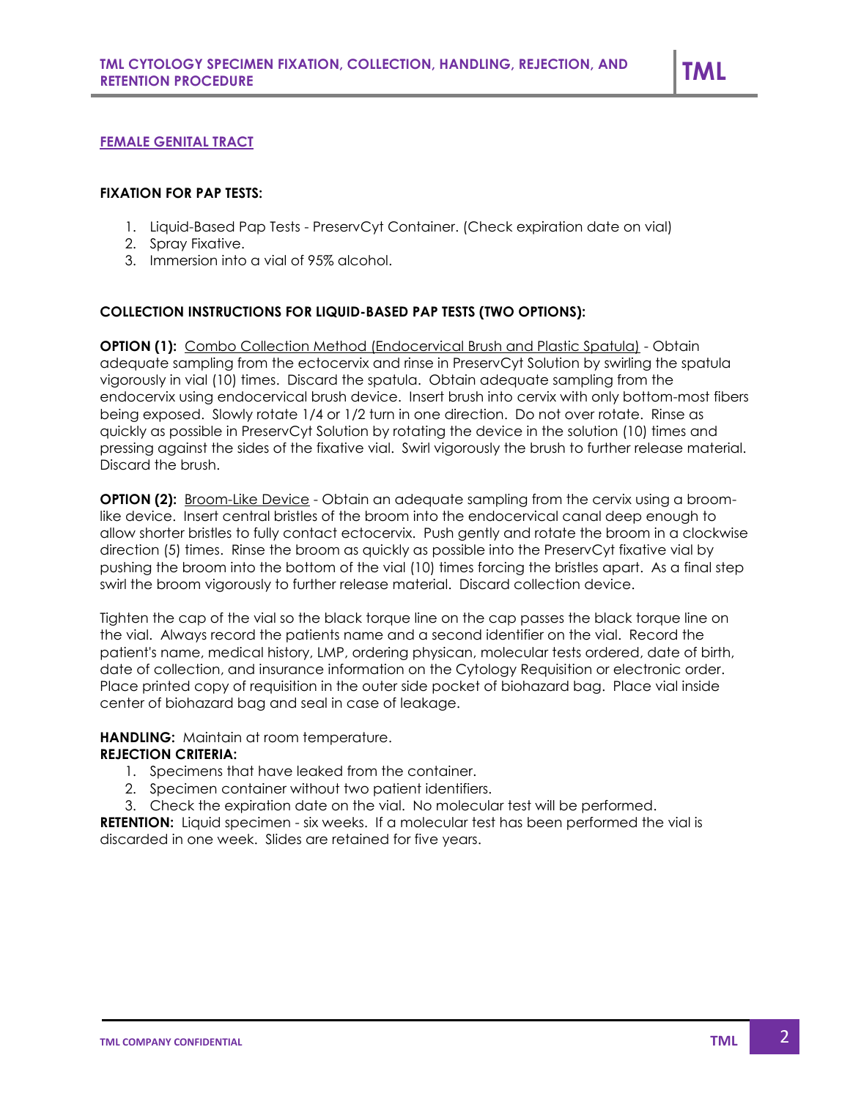### **FEMALE GENITAL TRACT**

### **FIXATION FOR PAP TESTS:**

- 1. Liquid-Based Pap Tests PreservCyt Container. (Check expiration date on vial)
- 2. Spray Fixative.
- 3. Immersion into a vial of 95% alcohol.

## **COLLECTION INSTRUCTIONS FOR LIQUID-BASED PAP TESTS (TWO OPTIONS):**

**OPTION (1):** Combo Collection Method (Endocervical Brush and Plastic Spatula) - Obtain adequate sampling from the ectocervix and rinse in PreservCyt Solution by swirling the spatula vigorously in vial (10) times. Discard the spatula. Obtain adequate sampling from the endocervix using endocervical brush device. Insert brush into cervix with only bottom-most fibers being exposed. Slowly rotate 1/4 or 1/2 turn in one direction. Do not over rotate. Rinse as quickly as possible in PreservCyt Solution by rotating the device in the solution (10) times and pressing against the sides of the fixative vial. Swirl vigorously the brush to further release material. Discard the brush.

**OPTION (2):** Broom-Like Device - Obtain an adequate sampling from the cervix using a broomlike device. Insert central bristles of the broom into the endocervical canal deep enough to allow shorter bristles to fully contact ectocervix. Push gently and rotate the broom in a clockwise direction (5) times. Rinse the broom as quickly as possible into the PreservCyt fixative vial by pushing the broom into the bottom of the vial (10) times forcing the bristles apart. As a final step swirl the broom vigorously to further release material. Discard collection device.

Tighten the cap of the vial so the black torque line on the cap passes the black torque line on the vial. Always record the patients name and a second identifier on the vial. Record the patient's name, medical history, LMP, ordering physican, molecular tests ordered, date of birth, date of collection, and insurance information on the Cytology Requisition or electronic order. Place printed copy of requisition in the outer side pocket of biohazard bag. Place vial inside center of biohazard bag and seal in case of leakage.

# **HANDLING:** Maintain at room temperature.

# **REJECTION CRITERIA:**

- 1. Specimens that have leaked from the container.
- 2. Specimen container without two patient identifiers.
- 3. Check the expiration date on the vial. No molecular test will be performed.

**RETENTION:** Liquid specimen - six weeks. If a molecular test has been performed the vial is discarded in one week. Slides are retained for five years.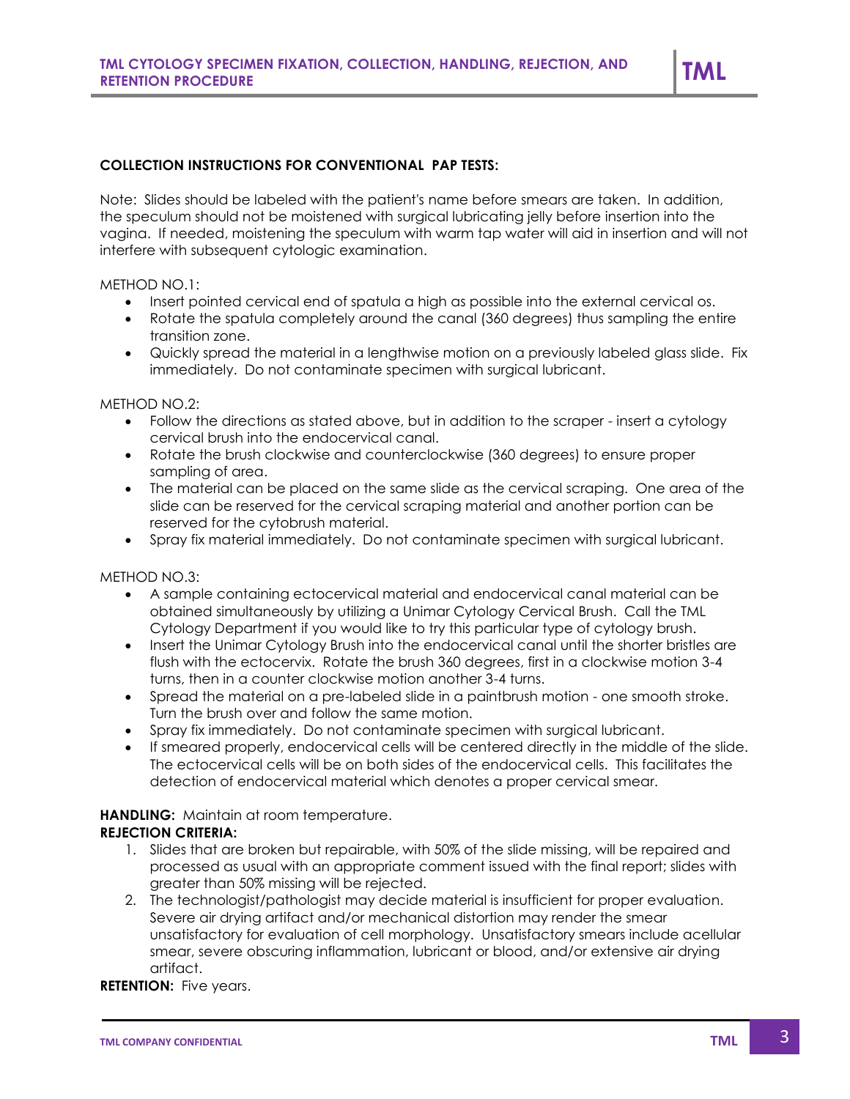Note: Slides should be labeled with the patient's name before smears are taken. In addition, the speculum should not be moistened with surgical lubricating jelly before insertion into the vagina. If needed, moistening the speculum with warm tap water will aid in insertion and will not interfere with subsequent cytologic examination.

### METHOD NO.1:

- Insert pointed cervical end of spatula a high as possible into the external cervical os.
- Rotate the spatula completely around the canal (360 degrees) thus sampling the entire transition zone.
- Quickly spread the material in a lengthwise motion on a previously labeled glass slide. Fix immediately. Do not contaminate specimen with surgical lubricant.

#### METHOD NO.2:

- Follow the directions as stated above, but in addition to the scraper insert a cytology cervical brush into the endocervical canal.
- Rotate the brush clockwise and counterclockwise (360 degrees) to ensure proper sampling of area.
- The material can be placed on the same slide as the cervical scraping. One area of the slide can be reserved for the cervical scraping material and another portion can be reserved for the cytobrush material.
- Spray fix material immediately. Do not contaminate specimen with surgical lubricant.

METHOD NO.3:

- A sample containing ectocervical material and endocervical canal material can be obtained simultaneously by utilizing a Unimar Cytology Cervical Brush. Call the TML Cytology Department if you would like to try this particular type of cytology brush.
- Insert the Unimar Cytology Brush into the endocervical canal until the shorter bristles are flush with the ectocervix. Rotate the brush 360 degrees, first in a clockwise motion 3-4 turns, then in a counter clockwise motion another 3-4 turns.
- Spread the material on a pre-labeled slide in a paintbrush motion one smooth stroke. Turn the brush over and follow the same motion.
- Spray fix immediately. Do not contaminate specimen with surgical lubricant.
- If smeared properly, endocervical cells will be centered directly in the middle of the slide. The ectocervical cells will be on both sides of the endocervical cells. This facilitates the detection of endocervical material which denotes a proper cervical smear.

# **HANDLING:** Maintain at room temperature.

## **REJECTION CRITERIA:**

- 1. Slides that are broken but repairable, with 50% of the slide missing, will be repaired and processed as usual with an appropriate comment issued with the final report; slides with greater than 50% missing will be rejected.
- 2. The technologist/pathologist may decide material is insufficient for proper evaluation. Severe air drying artifact and/or mechanical distortion may render the smear unsatisfactory for evaluation of cell morphology. Unsatisfactory smears include acellular smear, severe obscuring inflammation, lubricant or blood, and/or extensive air drying artifact.

### **RETENTION:** Five years.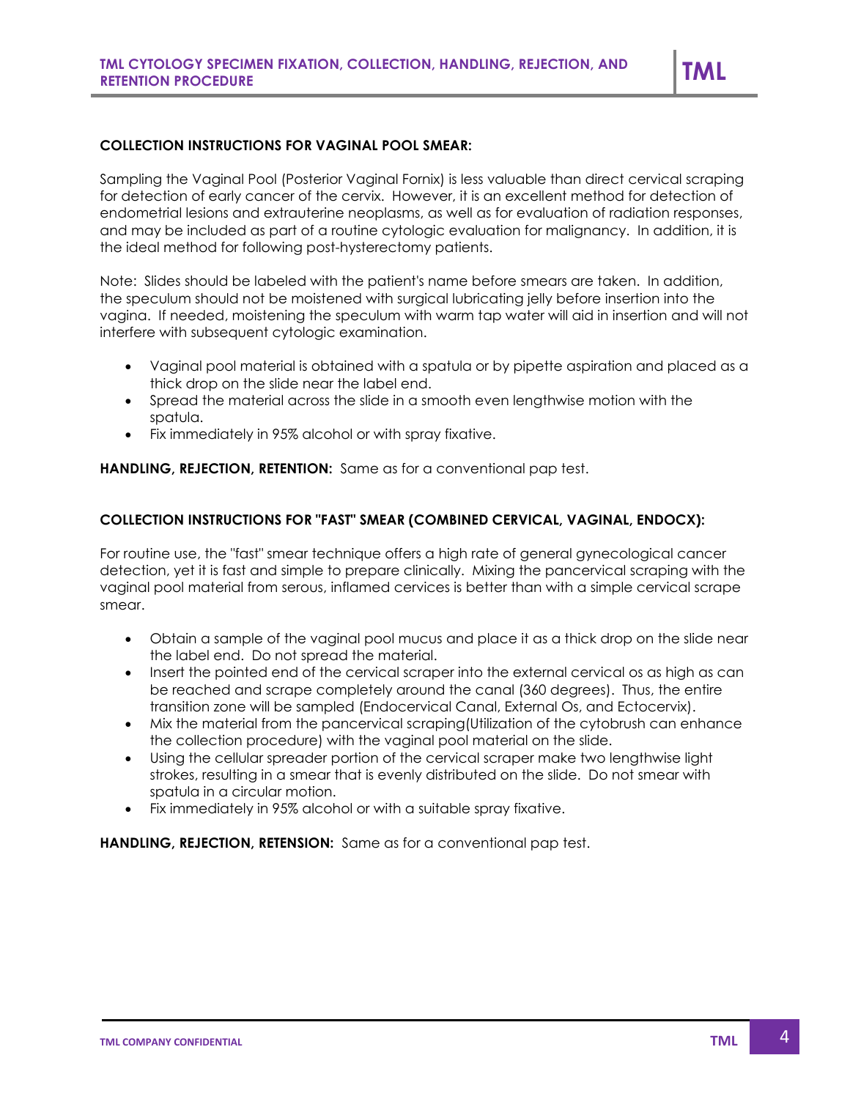# **COLLECTION INSTRUCTIONS FOR VAGINAL POOL SMEAR:**

Sampling the Vaginal Pool (Posterior Vaginal Fornix) is less valuable than direct cervical scraping for detection of early cancer of the cervix. However, it is an excellent method for detection of endometrial lesions and extrauterine neoplasms, as well as for evaluation of radiation responses, and may be included as part of a routine cytologic evaluation for malignancy. In addition, it is the ideal method for following post-hysterectomy patients.

Note: Slides should be labeled with the patient's name before smears are taken. In addition, the speculum should not be moistened with surgical lubricating jelly before insertion into the vagina. If needed, moistening the speculum with warm tap water will aid in insertion and will not interfere with subsequent cytologic examination.

- Vaginal pool material is obtained with a spatula or by pipette aspiration and placed as a thick drop on the slide near the label end.
- Spread the material across the slide in a smooth even lengthwise motion with the spatula.
- Fix immediately in 95% alcohol or with spray fixative.

**HANDLING, REJECTION, RETENTION:** Same as for a conventional pap test.

## **COLLECTION INSTRUCTIONS FOR "FAST" SMEAR (COMBINED CERVICAL, VAGINAL, ENDOCX):**

For routine use, the "fast" smear technique offers a high rate of general gynecological cancer detection, yet it is fast and simple to prepare clinically. Mixing the pancervical scraping with the vaginal pool material from serous, inflamed cervices is better than with a simple cervical scrape smear.

- Obtain a sample of the vaginal pool mucus and place it as a thick drop on the slide near the label end. Do not spread the material.
- Insert the pointed end of the cervical scraper into the external cervical os as high as can be reached and scrape completely around the canal (360 degrees). Thus, the entire transition zone will be sampled (Endocervical Canal, External Os, and Ectocervix).
- Mix the material from the pancervical scraping(Utilization of the cytobrush can enhance the collection procedure) with the vaginal pool material on the slide.
- Using the cellular spreader portion of the cervical scraper make two lengthwise light strokes, resulting in a smear that is evenly distributed on the slide. Do not smear with spatula in a circular motion.
- Fix immediately in 95% alcohol or with a suitable spray fixative.

**HANDLING, REJECTION, RETENSION:** Same as for a conventional pap test.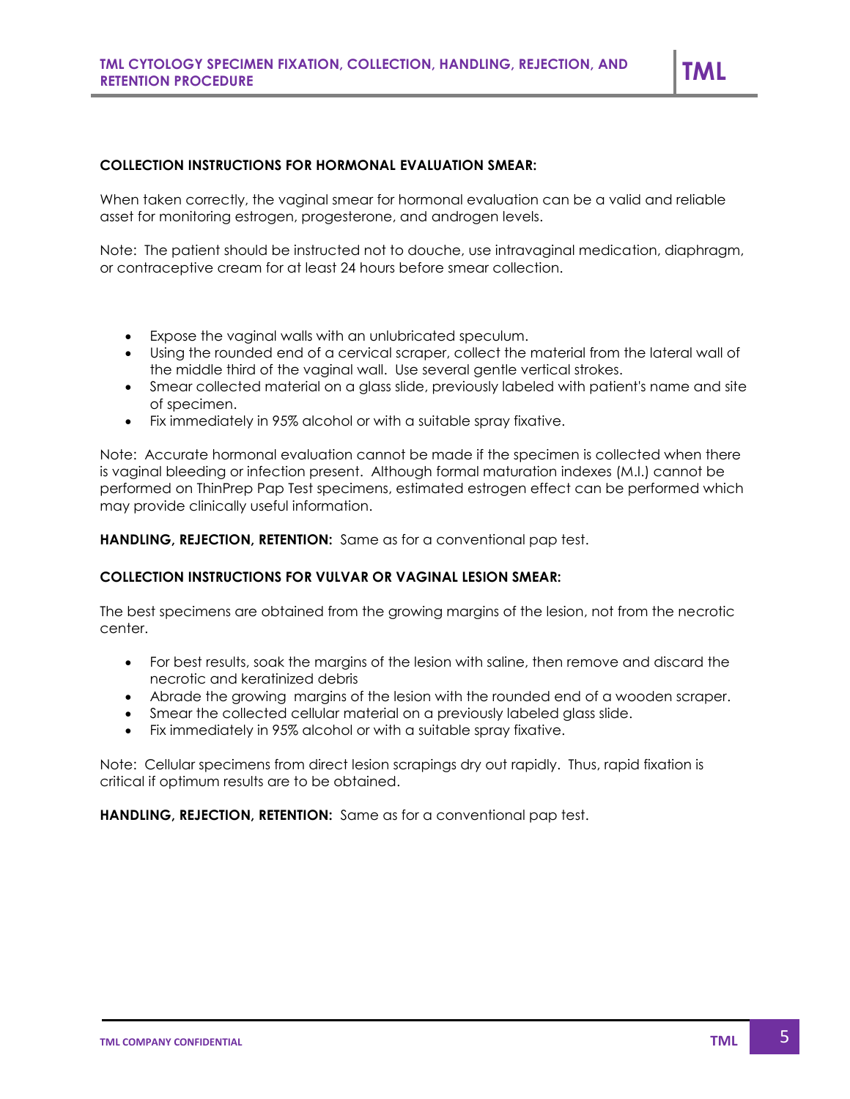#### **COLLECTION INSTRUCTIONS FOR HORMONAL EVALUATION SMEAR:**

When taken correctly, the vaginal smear for hormonal evaluation can be a valid and reliable asset for monitoring estrogen, progesterone, and androgen levels.

Note: The patient should be instructed not to douche, use intravaginal medication, diaphragm, or contraceptive cream for at least 24 hours before smear collection.

- Expose the vaginal walls with an unlubricated speculum.
- Using the rounded end of a cervical scraper, collect the material from the lateral wall of the middle third of the vaginal wall. Use several gentle vertical strokes.
- Smear collected material on a glass slide, previously labeled with patient's name and site of specimen.
- Fix immediately in 95% alcohol or with a suitable spray fixative.

Note: Accurate hormonal evaluation cannot be made if the specimen is collected when there is vaginal bleeding or infection present. Although formal maturation indexes (M.I.) cannot be performed on ThinPrep Pap Test specimens, estimated estrogen effect can be performed which may provide clinically useful information.

**HANDLING, REJECTION, RETENTION:** Same as for a conventional pap test.

## **COLLECTION INSTRUCTIONS FOR VULVAR OR VAGINAL LESION SMEAR:**

The best specimens are obtained from the growing margins of the lesion, not from the necrotic center.

- For best results, soak the margins of the lesion with saline, then remove and discard the necrotic and keratinized debris
- Abrade the growing margins of the lesion with the rounded end of a wooden scraper.
- Smear the collected cellular material on a previously labeled glass slide.
- Fix immediately in 95% alcohol or with a suitable spray fixative.

Note: Cellular specimens from direct lesion scrapings dry out rapidly. Thus, rapid fixation is critical if optimum results are to be obtained.

**HANDLING, REJECTION, RETENTION:** Same as for a conventional pap test.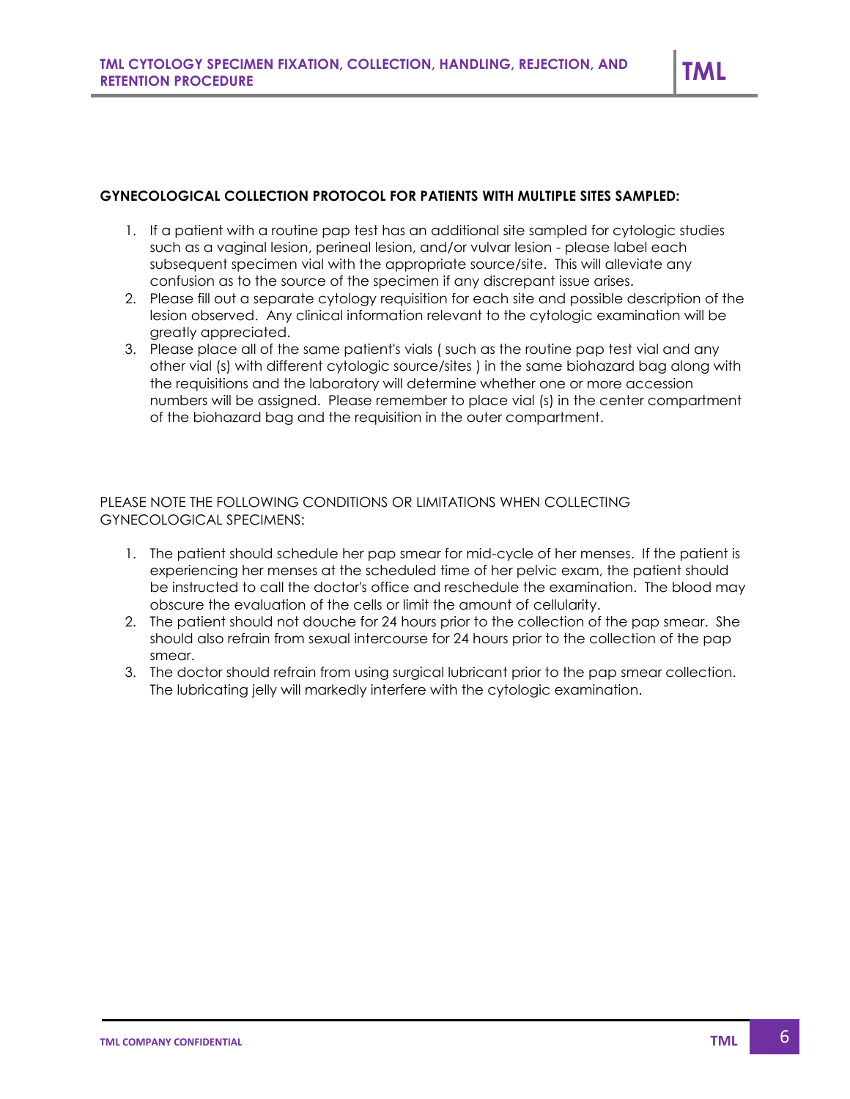## **GYNECOLOGICAL COLLECTION PROTOCOL FOR PATIENTS WITH MULTIPLE SITES SAMPLED:**

- 1. If a patient with a routine pap test has an additional site sampled for cytologic studies such as a vaginal lesion, perineal lesion, and/or vulvar lesion - please label each subsequent specimen vial with the appropriate source/site. This will alleviate any confusion as to the source of the specimen if any discrepant issue arises.
- 2. Please fill out a separate cytology requisition for each site and possible description of the lesion observed. Any clinical information relevant to the cytologic examination will be greatly appreciated.
- 3. Please place all of the same patient's vials ( such as the routine pap test vial and any other vial (s) with different cytologic source/sites ) in the same biohazard bag along with the requisitions and the laboratory will determine whether one or more accession numbers will be assigned. Please remember to place vial (s) in the center compartment of the biohazard bag and the requisition in the outer compartment.

PLEASE NOTE THE FOLLOWING CONDITIONS OR LIMITATIONS WHEN COLLECTING GYNECOLOGICAL SPECIMENS:

- 1. The patient should schedule her pap smear for mid-cycle of her menses. If the patient is experiencing her menses at the scheduled time of her pelvic exam, the patient should be instructed to call the doctor's office and reschedule the examination. The blood may obscure the evaluation of the cells or limit the amount of cellularity.
- 2. The patient should not douche for 24 hours prior to the collection of the pap smear. She should also refrain from sexual intercourse for 24 hours prior to the collection of the pap smear.
- 3. The doctor should refrain from using surgical lubricant prior to the pap smear collection. The lubricating jelly will markedly interfere with the cytologic examination.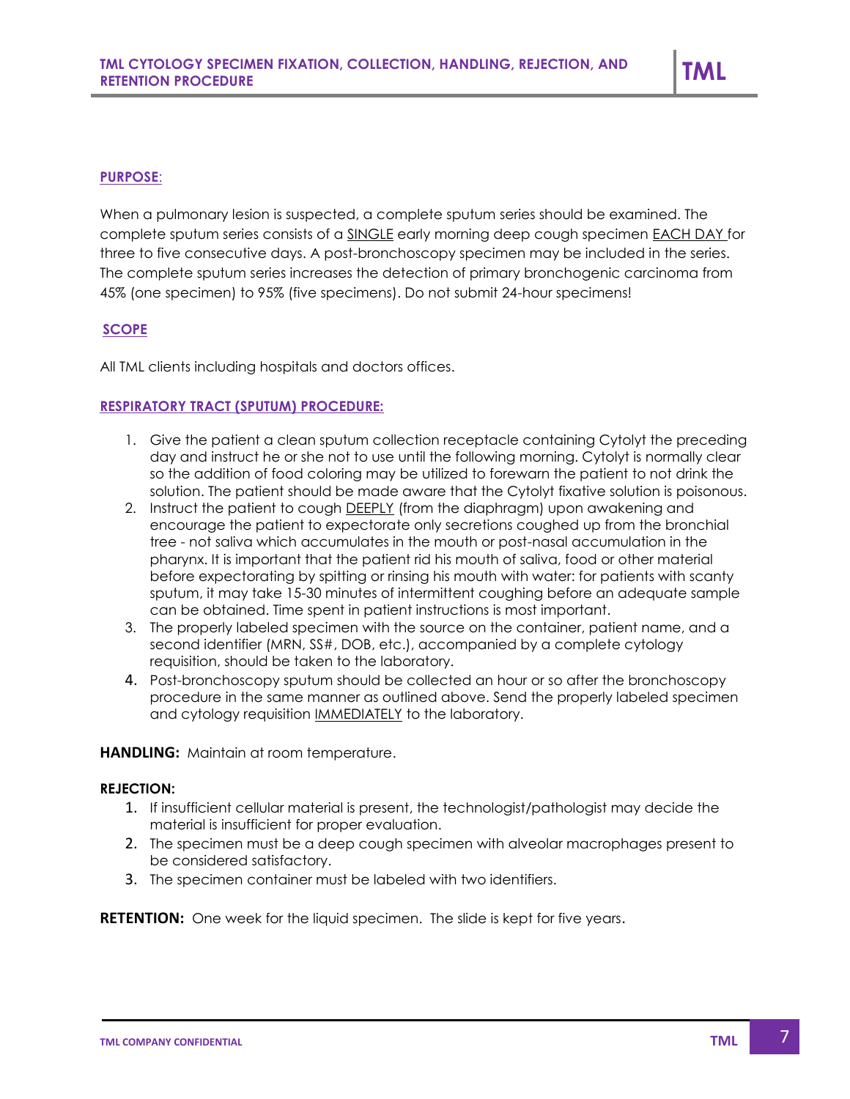When a pulmonary lesion is suspected, a complete sputum series should be examined. The complete sputum series consists of a SINGLE early morning deep cough specimen EACH DAY for three to five consecutive days. A post-bronchoscopy specimen may be included in the series. The complete sputum series increases the detection of primary bronchogenic carcinoma from 45% (one specimen) to 95% (five specimens). Do not submit 24-hour specimens!

## **SCOPE**

All TML clients including hospitals and doctors offices.

## **RESPIRATORY TRACT (SPUTUM) PROCEDURE:**

- 1. Give the patient a clean sputum collection receptacle containing Cytolyt the preceding day and instruct he or she not to use until the following morning. Cytolyt is normally clear so the addition of food coloring may be utilized to forewarn the patient to not drink the solution. The patient should be made aware that the Cytolyt fixative solution is poisonous.
- 2. Instruct the patient to cough DEEPLY (from the diaphragm) upon awakening and encourage the patient to expectorate only secretions coughed up from the bronchial tree - not saliva which accumulates in the mouth or post-nasal accumulation in the pharynx. It is important that the patient rid his mouth of saliva, food or other material before expectorating by spitting or rinsing his mouth with water: for patients with scanty sputum, it may take 15-30 minutes of intermittent coughing before an adequate sample can be obtained. Time spent in patient instructions is most important.
- 3. The properly labeled specimen with the source on the container, patient name, and a second identifier (MRN, SS#, DOB, etc.), accompanied by a complete cytology requisition, should be taken to the laboratory.
- 4. Post-bronchoscopy sputum should be collected an hour or so after the bronchoscopy procedure in the same manner as outlined above. Send the properly labeled specimen and cytology requisition IMMEDIATELY to the laboratory.

### **HANDLING:** Maintain at room temperature.

### **REJECTION:**

- 1. If insufficient cellular material is present, the technologist/pathologist may decide the material is insufficient for proper evaluation.
- 2. The specimen must be a deep cough specimen with alveolar macrophages present to be considered satisfactory.
- 3. The specimen container must be labeled with two identifiers.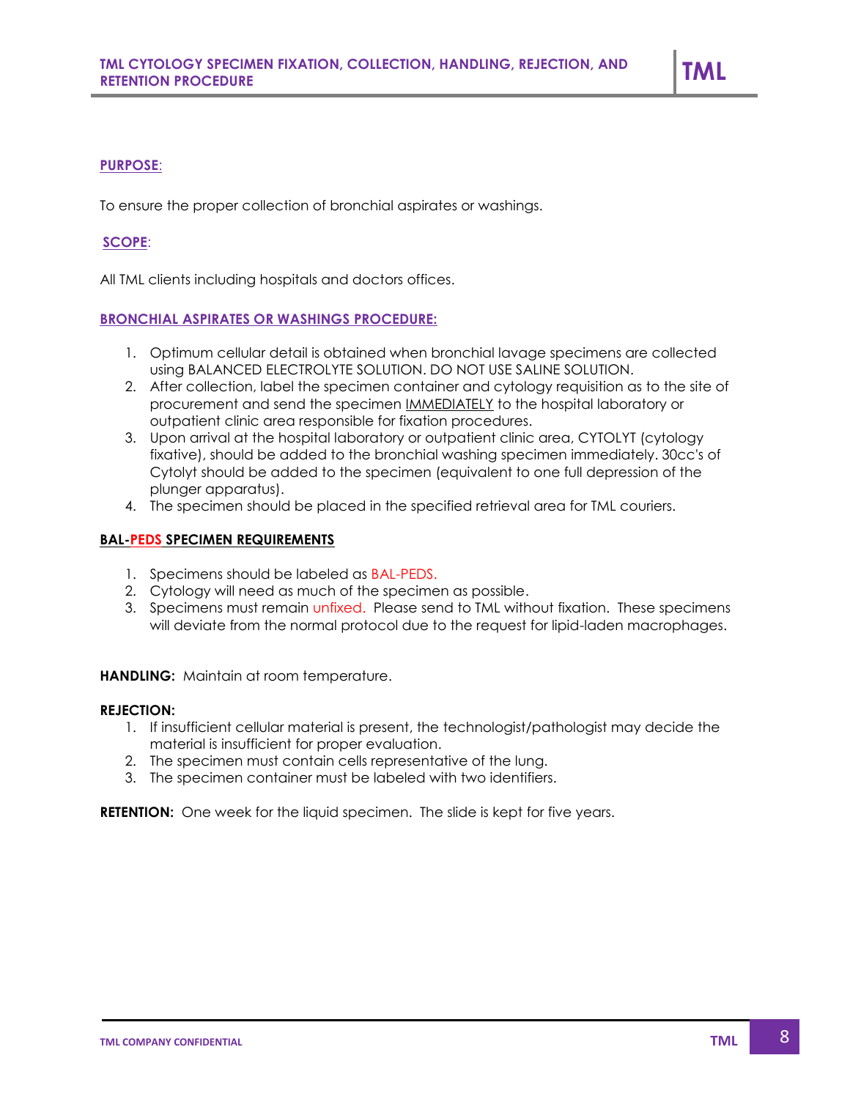To ensure the proper collection of bronchial aspirates or washings.

# **SCOPE**:

All TML clients including hospitals and doctors offices.

### **BRONCHIAL ASPIRATES OR WASHINGS PROCEDURE:**

- 1. Optimum cellular detail is obtained when bronchial lavage specimens are collected using BALANCED ELECTROLYTE SOLUTION. DO NOT USE SALINE SOLUTION.
- 2. After collection, label the specimen container and cytology requisition as to the site of procurement and send the specimen **IMMEDIATELY** to the hospital laboratory or outpatient clinic area responsible for fixation procedures.
- 3. Upon arrival at the hospital laboratory or outpatient clinic area, CYTOLYT (cytology fixative), should be added to the bronchial washing specimen immediately. 30cc's of Cytolyt should be added to the specimen (equivalent to one full depression of the plunger apparatus).
- 4. The specimen should be placed in the specified retrieval area for TML couriers.

## **BAL-PEDS SPECIMEN REQUIREMENTS**

- 1. Specimens should be labeled as BAL-PEDS.
- 2. Cytology will need as much of the specimen as possible.
- 3. Specimens must remain unfixed. Please send to TML without fixation. These specimens will deviate from the normal protocol due to the request for lipid-laden macrophages.

**HANDLING:** Maintain at room temperature.

#### **REJECTION:**

- 1. If insufficient cellular material is present, the technologist/pathologist may decide the material is insufficient for proper evaluation.
- 2. The specimen must contain cells representative of the lung.
- 3. The specimen container must be labeled with two identifiers.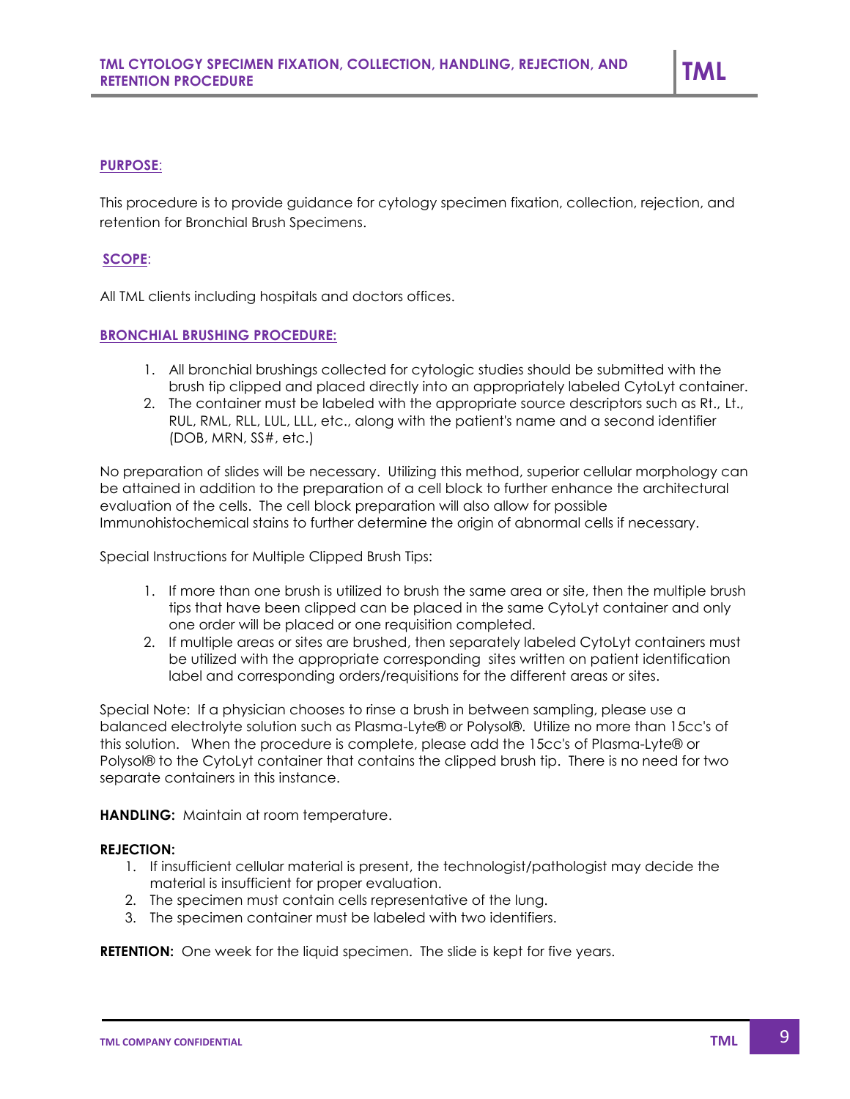This procedure is to provide guidance for cytology specimen fixation, collection, rejection, and retention for Bronchial Brush Specimens.

## **SCOPE**:

All TML clients including hospitals and doctors offices.

### **BRONCHIAL BRUSHING PROCEDURE:**

- 1. All bronchial brushings collected for cytologic studies should be submitted with the brush tip clipped and placed directly into an appropriately labeled CytoLyt container.
- 2. The container must be labeled with the appropriate source descriptors such as Rt., Lt., RUL, RML, RLL, LUL, LLL, etc., along with the patient's name and a second identifier (DOB, MRN, SS#, etc.)

No preparation of slides will be necessary. Utilizing this method, superior cellular morphology can be attained in addition to the preparation of a cell block to further enhance the architectural evaluation of the cells. The cell block preparation will also allow for possible Immunohistochemical stains to further determine the origin of abnormal cells if necessary.

Special Instructions for Multiple Clipped Brush Tips:

- 1. If more than one brush is utilized to brush the same area or site, then the multiple brush tips that have been clipped can be placed in the same CytoLyt container and only one order will be placed or one requisition completed.
- 2. If multiple areas or sites are brushed, then separately labeled CytoLyt containers must be utilized with the appropriate corresponding sites written on patient identification label and corresponding orders/requisitions for the different areas or sites.

Special Note: If a physician chooses to rinse a brush in between sampling, please use a balanced electrolyte solution such as Plasma-Lyte® or Polysol®. Utilize no more than 15cc's of this solution. When the procedure is complete, please add the 15cc's of Plasma-Lyte® or Polysol® to the CytoLyt container that contains the clipped brush tip. There is no need for two separate containers in this instance.

**HANDLING:** Maintain at room temperature.

### **REJECTION:**

- 1. If insufficient cellular material is present, the technologist/pathologist may decide the material is insufficient for proper evaluation.
- 2. The specimen must contain cells representative of the lung.
- 3. The specimen container must be labeled with two identifiers.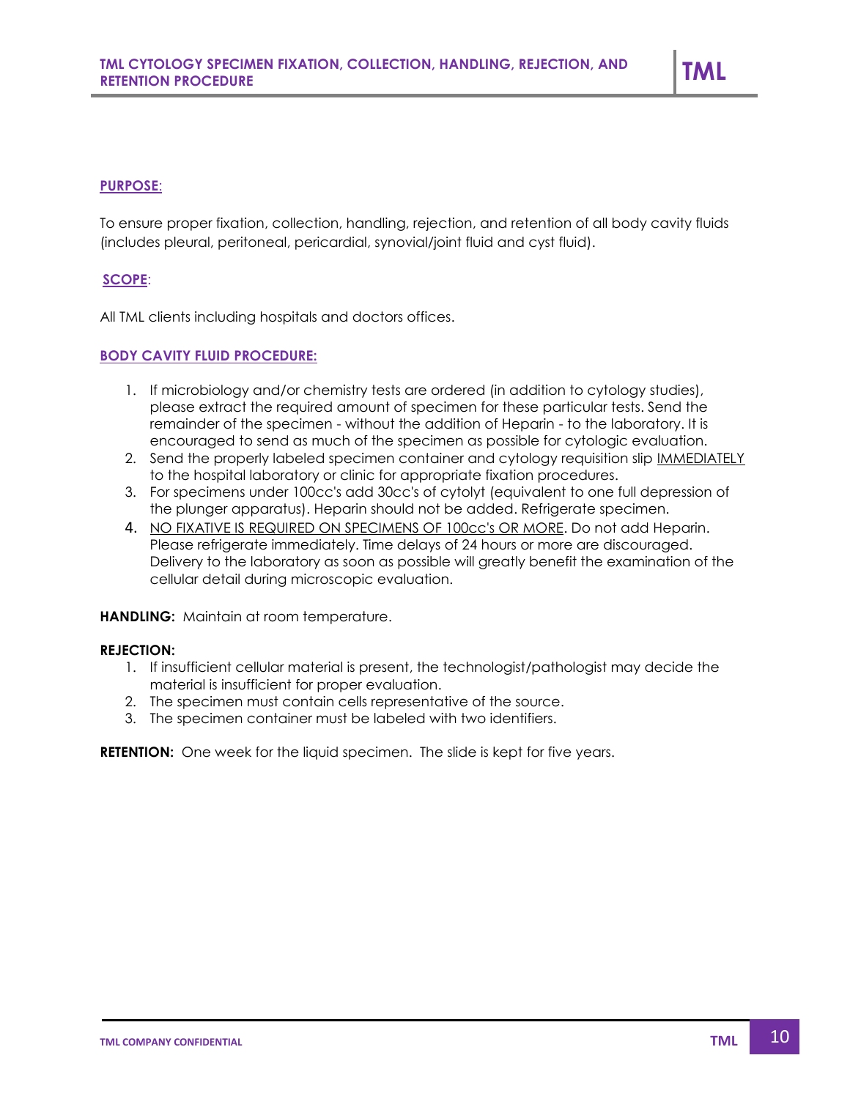To ensure proper fixation, collection, handling, rejection, and retention of all body cavity fluids (includes pleural, peritoneal, pericardial, synovial/joint fluid and cyst fluid).

## **SCOPE**:

All TML clients including hospitals and doctors offices.

### **BODY CAVITY FLUID PROCEDURE:**

- 1. If microbiology and/or chemistry tests are ordered (in addition to cytology studies), please extract the required amount of specimen for these particular tests. Send the remainder of the specimen - without the addition of Heparin - to the laboratory. It is encouraged to send as much of the specimen as possible for cytologic evaluation.
- 2. Send the properly labeled specimen container and cytology requisition slip IMMEDIATELY to the hospital laboratory or clinic for appropriate fixation procedures.
- 3. For specimens under 100cc's add 30cc's of cytolyt (equivalent to one full depression of the plunger apparatus). Heparin should not be added. Refrigerate specimen.
- 4. NO FIXATIVE IS REQUIRED ON SPECIMENS OF 100cc's OR MORE. Do not add Heparin. Please refrigerate immediately. Time delays of 24 hours or more are discouraged. Delivery to the laboratory as soon as possible will greatly benefit the examination of the cellular detail during microscopic evaluation.

**HANDLING:** Maintain at room temperature.

### **REJECTION:**

- 1. If insufficient cellular material is present, the technologist/pathologist may decide the material is insufficient for proper evaluation.
- 2. The specimen must contain cells representative of the source.
- 3. The specimen container must be labeled with two identifiers.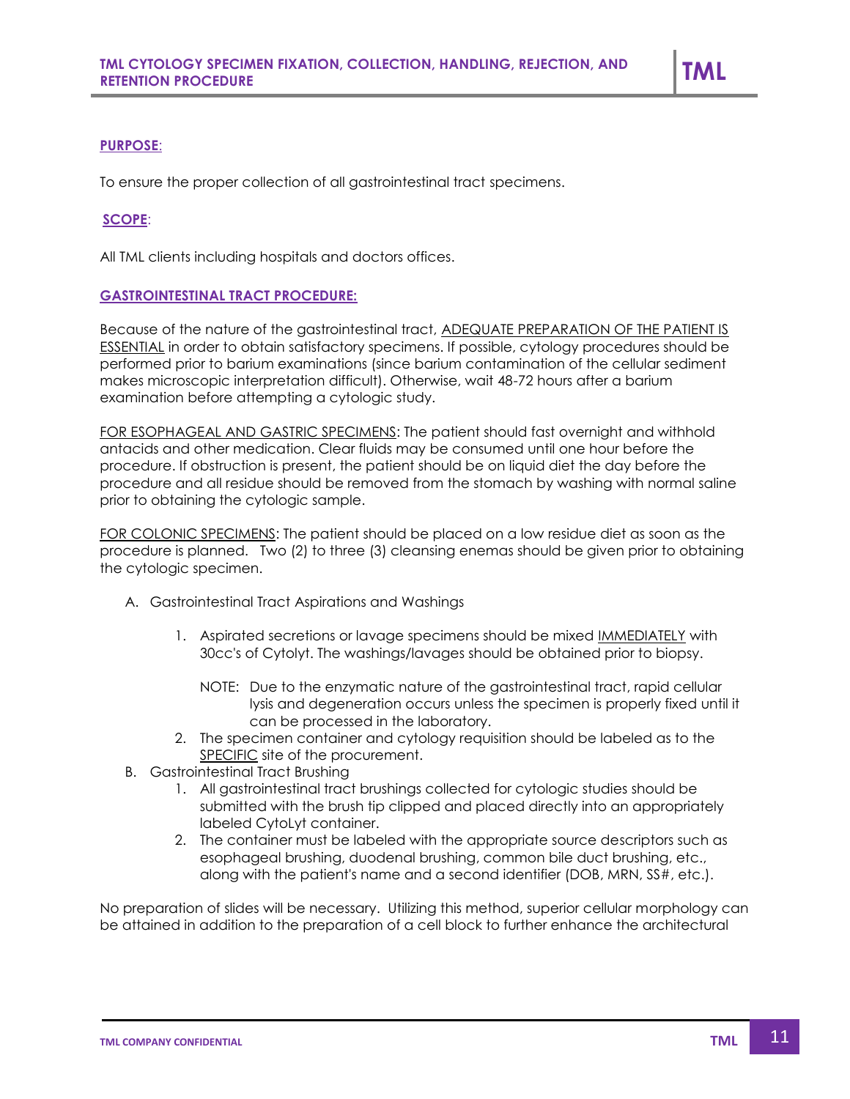To ensure the proper collection of all gastrointestinal tract specimens.

## **SCOPE**:

All TML clients including hospitals and doctors offices.

### **GASTROINTESTINAL TRACT PROCEDURE:**

Because of the nature of the gastrointestinal tract, ADEQUATE PREPARATION OF THE PATIENT IS ESSENTIAL in order to obtain satisfactory specimens. If possible, cytology procedures should be performed prior to barium examinations (since barium contamination of the cellular sediment makes microscopic interpretation difficult). Otherwise, wait 48-72 hours after a barium examination before attempting a cytologic study.

FOR ESOPHAGEAL AND GASTRIC SPECIMENS: The patient should fast overnight and withhold antacids and other medication. Clear fluids may be consumed until one hour before the procedure. If obstruction is present, the patient should be on liquid diet the day before the procedure and all residue should be removed from the stomach by washing with normal saline prior to obtaining the cytologic sample.

FOR COLONIC SPECIMENS: The patient should be placed on a low residue diet as soon as the procedure is planned. Two (2) to three (3) cleansing enemas should be given prior to obtaining the cytologic specimen.

- A. Gastrointestinal Tract Aspirations and Washings
	- 1. Aspirated secretions or lavage specimens should be mixed IMMEDIATELY with 30cc's of Cytolyt. The washings/lavages should be obtained prior to biopsy.
		- NOTE: Due to the enzymatic nature of the gastrointestinal tract, rapid cellular lysis and degeneration occurs unless the specimen is properly fixed until it can be processed in the laboratory.
	- 2. The specimen container and cytology requisition should be labeled as to the SPECIFIC site of the procurement.
- B. Gastrointestinal Tract Brushing
	- 1. All gastrointestinal tract brushings collected for cytologic studies should be submitted with the brush tip clipped and placed directly into an appropriately labeled CytoLyt container.
	- 2. The container must be labeled with the appropriate source descriptors such as esophageal brushing, duodenal brushing, common bile duct brushing, etc., along with the patient's name and a second identifier (DOB, MRN, SS#, etc.).

No preparation of slides will be necessary. Utilizing this method, superior cellular morphology can be attained in addition to the preparation of a cell block to further enhance the architectural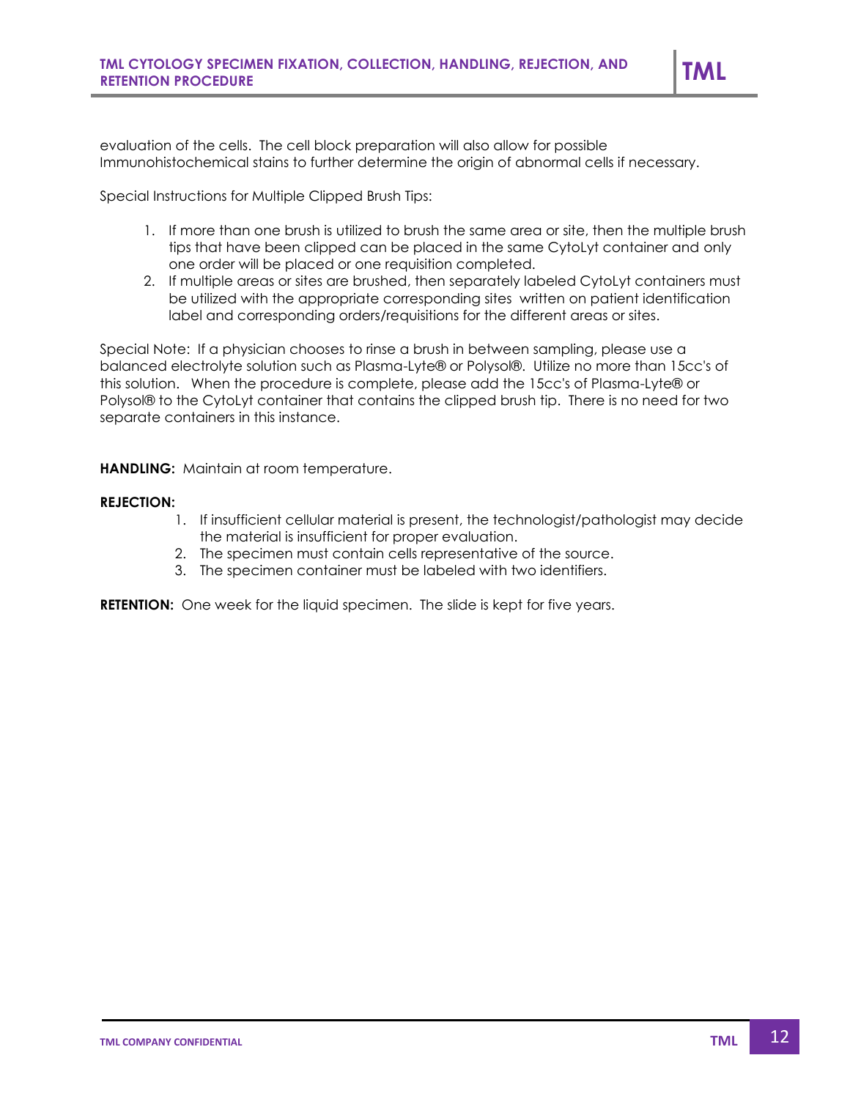evaluation of the cells. The cell block preparation will also allow for possible Immunohistochemical stains to further determine the origin of abnormal cells if necessary.

Special Instructions for Multiple Clipped Brush Tips:

- 1. If more than one brush is utilized to brush the same area or site, then the multiple brush tips that have been clipped can be placed in the same CytoLyt container and only one order will be placed or one requisition completed.
- 2. If multiple areas or sites are brushed, then separately labeled CytoLyt containers must be utilized with the appropriate corresponding sites written on patient identification label and corresponding orders/requisitions for the different areas or sites.

Special Note: If a physician chooses to rinse a brush in between sampling, please use a balanced electrolyte solution such as Plasma-Lyte® or Polysol®. Utilize no more than 15cc's of this solution. When the procedure is complete, please add the 15cc's of Plasma-Lyte® or Polysol® to the CytoLyt container that contains the clipped brush tip. There is no need for two separate containers in this instance.

**HANDLING:** Maintain at room temperature.

# **REJECTION:**

- 1. If insufficient cellular material is present, the technologist/pathologist may decide the material is insufficient for proper evaluation.
- 2. The specimen must contain cells representative of the source.
- 3. The specimen container must be labeled with two identifiers.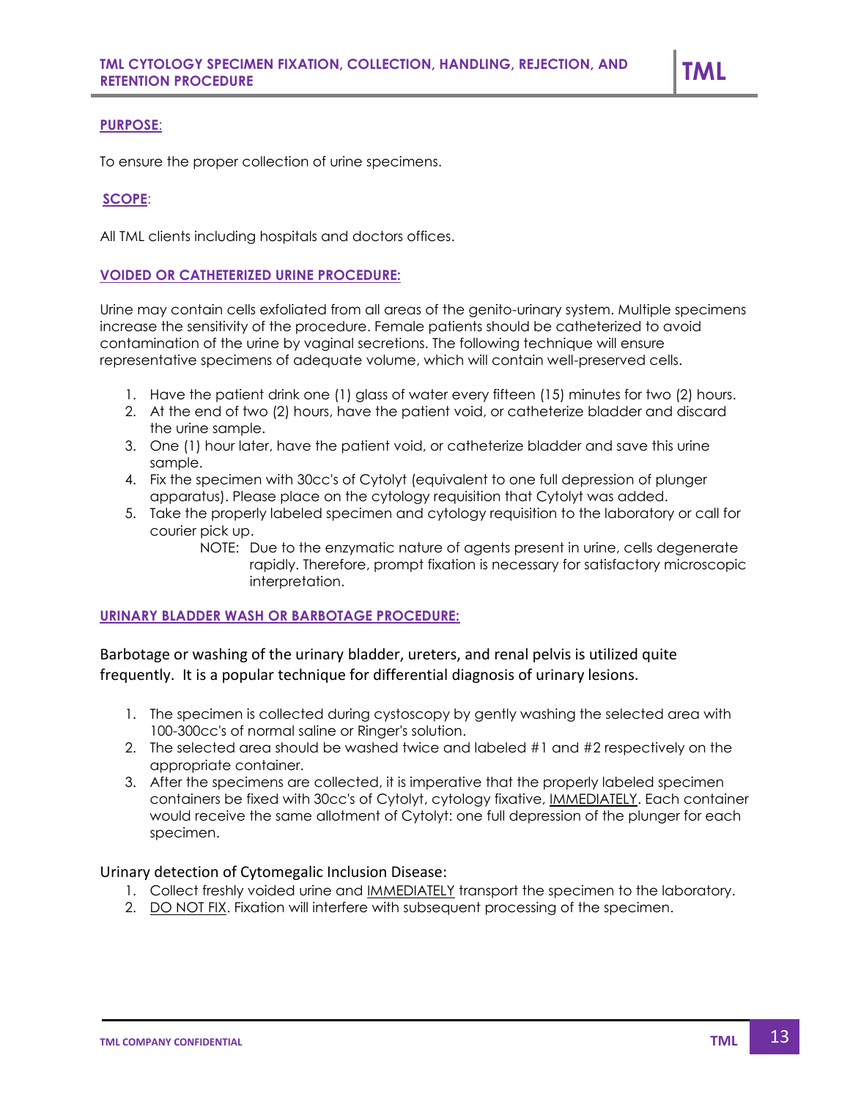To ensure the proper collection of urine specimens.

## **SCOPE**:

All TML clients including hospitals and doctors offices.

## **VOIDED OR CATHETERIZED URINE PROCEDURE:**

Urine may contain cells exfoliated from all areas of the genito-urinary system. Multiple specimens increase the sensitivity of the procedure. Female patients should be catheterized to avoid contamination of the urine by vaginal secretions. The following technique will ensure representative specimens of adequate volume, which will contain well-preserved cells.

- 1. Have the patient drink one (1) glass of water every fifteen (15) minutes for two (2) hours.
- 2. At the end of two (2) hours, have the patient void, or catheterize bladder and discard the urine sample.
- 3. One (1) hour later, have the patient void, or catheterize bladder and save this urine sample.
- 4. Fix the specimen with 30cc's of Cytolyt (equivalent to one full depression of plunger apparatus). Please place on the cytology requisition that Cytolyt was added.
- 5. Take the properly labeled specimen and cytology requisition to the laboratory or call for courier pick up.
	- NOTE: Due to the enzymatic nature of agents present in urine, cells degenerate rapidly. Therefore, prompt fixation is necessary for satisfactory microscopic interpretation.

### **URINARY BLADDER WASH OR BARBOTAGE PROCEDURE:**

Barbotage or washing of the urinary bladder, ureters, and renal pelvis is utilized quite frequently. It is a popular technique for differential diagnosis of urinary lesions.

- 1. The specimen is collected during cystoscopy by gently washing the selected area with 100-300cc's of normal saline or Ringer's solution.
- 2. The selected area should be washed twice and labeled #1 and #2 respectively on the appropriate container.
- 3. After the specimens are collected, it is imperative that the properly labeled specimen containers be fixed with 30cc's of Cytolyt, cytology fixative, IMMEDIATELY. Each container would receive the same allotment of Cytolyt: one full depression of the plunger for each specimen.

# Urinary detection of Cytomegalic Inclusion Disease:

- 1. Collect freshly voided urine and **IMMEDIATELY** transport the specimen to the laboratory.
- 2. DO NOT FIX. Fixation will interfere with subsequent processing of the specimen.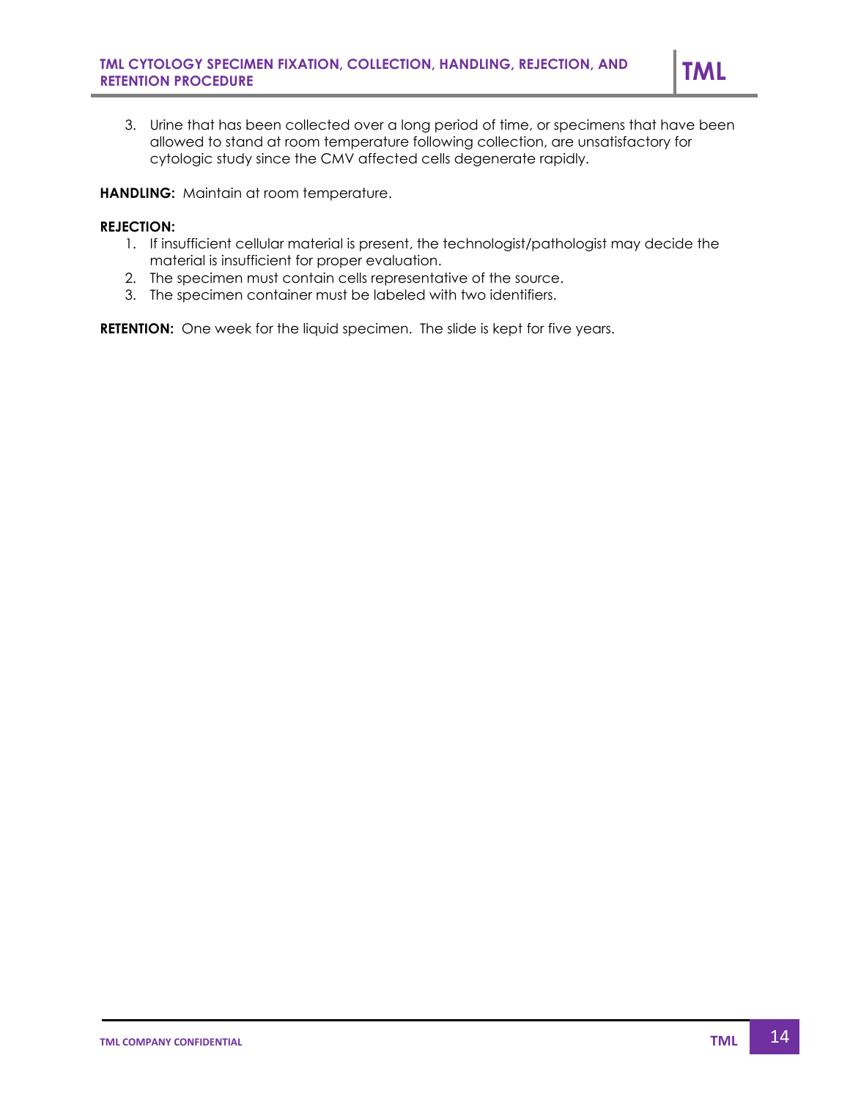3. Urine that has been collected over a long period of time, or specimens that have been allowed to stand at room temperature following collection, are unsatisfactory for cytologic study since the CMV affected cells degenerate rapidly.

**HANDLING:** Maintain at room temperature.

## **REJECTION:**

- 1. If insufficient cellular material is present, the technologist/pathologist may decide the material is insufficient for proper evaluation.
- 2. The specimen must contain cells representative of the source.
- 3. The specimen container must be labeled with two identifiers.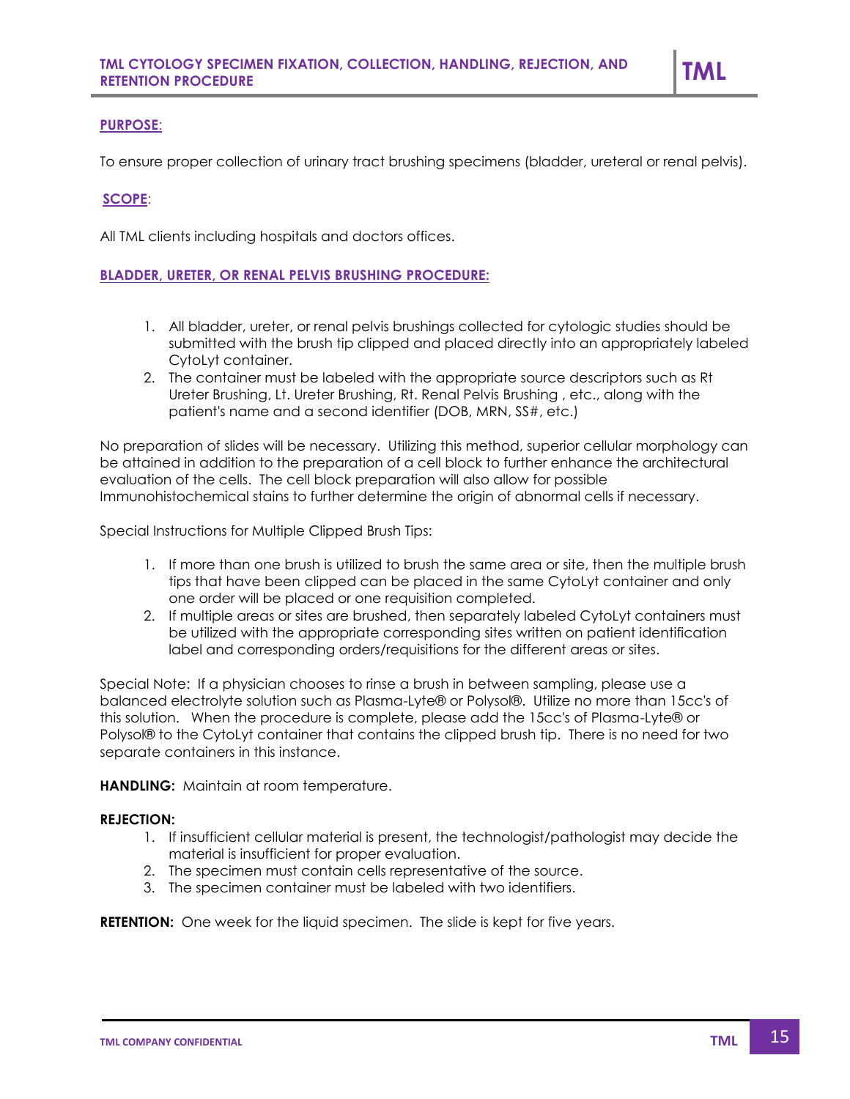To ensure proper collection of urinary tract brushing specimens (bladder, ureteral or renal pelvis).

## **SCOPE**:

All TML clients including hospitals and doctors offices.

## **BLADDER, URETER, OR RENAL PELVIS BRUSHING PROCEDURE:**

- 1. All bladder, ureter, or renal pelvis brushings collected for cytologic studies should be submitted with the brush tip clipped and placed directly into an appropriately labeled CytoLyt container.
- 2. The container must be labeled with the appropriate source descriptors such as Rt Ureter Brushing, Lt. Ureter Brushing, Rt. Renal Pelvis Brushing , etc., along with the patient's name and a second identifier (DOB, MRN, SS#, etc.)

No preparation of slides will be necessary. Utilizing this method, superior cellular morphology can be attained in addition to the preparation of a cell block to further enhance the architectural evaluation of the cells. The cell block preparation will also allow for possible Immunohistochemical stains to further determine the origin of abnormal cells if necessary.

Special Instructions for Multiple Clipped Brush Tips:

- 1. If more than one brush is utilized to brush the same area or site, then the multiple brush tips that have been clipped can be placed in the same CytoLyt container and only one order will be placed or one requisition completed.
- 2. If multiple areas or sites are brushed, then separately labeled CytoLyt containers must be utilized with the appropriate corresponding sites written on patient identification label and corresponding orders/requisitions for the different areas or sites.

Special Note: If a physician chooses to rinse a brush in between sampling, please use a balanced electrolyte solution such as Plasma-Lyte® or Polysol®. Utilize no more than 15cc's of this solution. When the procedure is complete, please add the 15cc's of Plasma-Lyte® or Polysol® to the CytoLyt container that contains the clipped brush tip. There is no need for two separate containers in this instance.

**HANDLING:** Maintain at room temperature.

### **REJECTION:**

- 1. If insufficient cellular material is present, the technologist/pathologist may decide the material is insufficient for proper evaluation.
- 2. The specimen must contain cells representative of the source.
- 3. The specimen container must be labeled with two identifiers.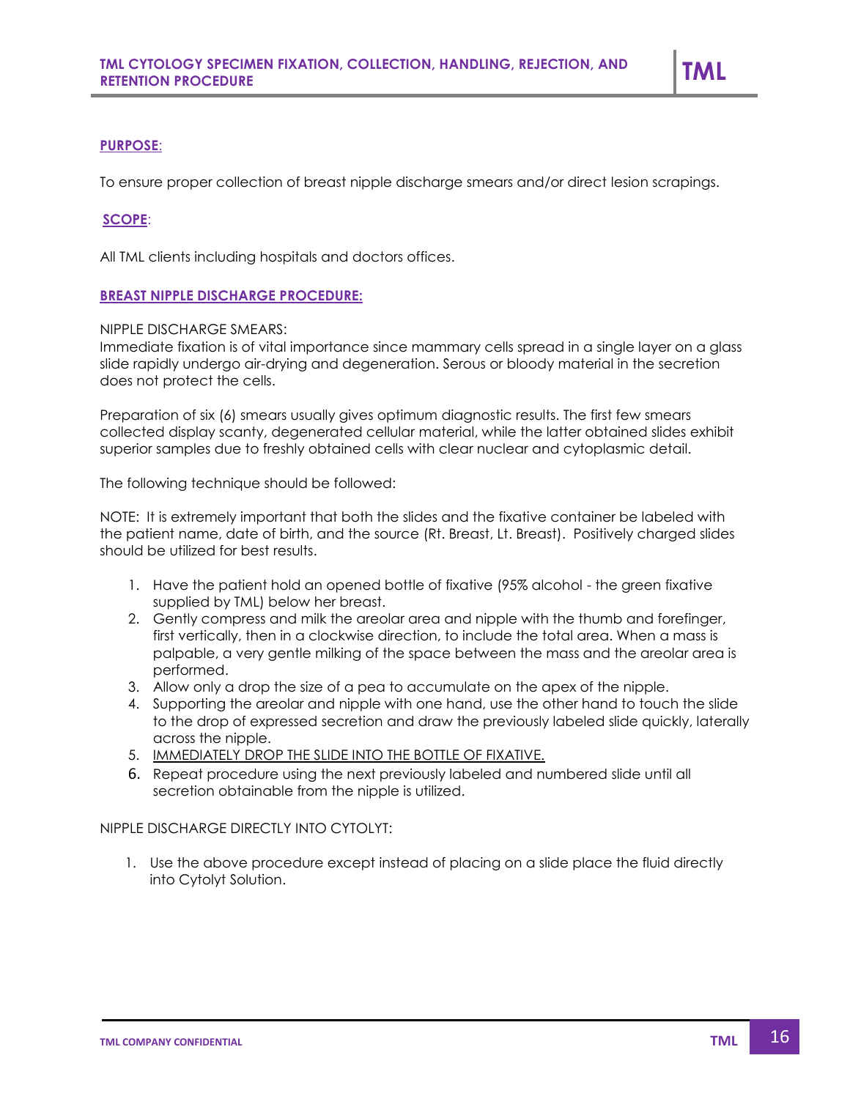To ensure proper collection of breast nipple discharge smears and/or direct lesion scrapings.

## **SCOPE**:

All TML clients including hospitals and doctors offices.

### **BREAST NIPPLE DISCHARGE PROCEDURE:**

#### NIPPLE DISCHARGE SMEARS:

Immediate fixation is of vital importance since mammary cells spread in a single layer on a glass slide rapidly undergo air-drying and degeneration. Serous or bloody material in the secretion does not protect the cells.

Preparation of six (6) smears usually gives optimum diagnostic results. The first few smears collected display scanty, degenerated cellular material, while the latter obtained slides exhibit superior samples due to freshly obtained cells with clear nuclear and cytoplasmic detail.

The following technique should be followed:

NOTE: It is extremely important that both the slides and the fixative container be labeled with the patient name, date of birth, and the source (Rt. Breast, Lt. Breast). Positively charged slides should be utilized for best results.

- 1. Have the patient hold an opened bottle of fixative (95% alcohol the green fixative supplied by TML) below her breast.
- 2. Gently compress and milk the areolar area and nipple with the thumb and forefinger, first vertically, then in a clockwise direction, to include the total area. When a mass is palpable, a very gentle milking of the space between the mass and the areolar area is performed.
- 3. Allow only a drop the size of a pea to accumulate on the apex of the nipple.
- 4. Supporting the areolar and nipple with one hand, use the other hand to touch the slide to the drop of expressed secretion and draw the previously labeled slide quickly, laterally across the nipple.
- 5. IMMEDIATELY DROP THE SLIDE INTO THE BOTTLE OF FIXATIVE.
- 6. Repeat procedure using the next previously labeled and numbered slide until all secretion obtainable from the nipple is utilized.

NIPPLE DISCHARGE DIRECTLY INTO CYTOLYT:

1. Use the above procedure except instead of placing on a slide place the fluid directly into Cytolyt Solution.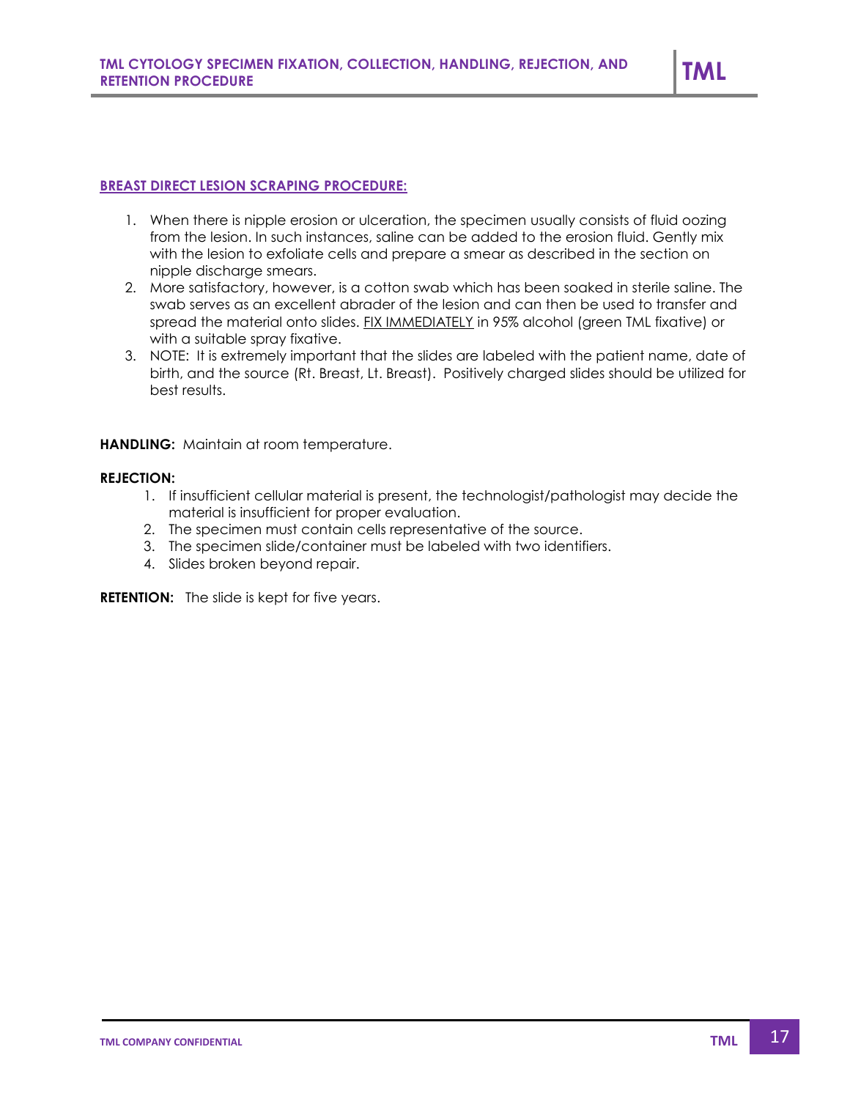### **BREAST DIRECT LESION SCRAPING PROCEDURE:**

- 1. When there is nipple erosion or ulceration, the specimen usually consists of fluid oozing from the lesion. In such instances, saline can be added to the erosion fluid. Gently mix with the lesion to exfoliate cells and prepare a smear as described in the section on nipple discharge smears.
- 2. More satisfactory, however, is a cotton swab which has been soaked in sterile saline. The swab serves as an excellent abrader of the lesion and can then be used to transfer and spread the material onto slides. FIX IMMEDIATELY in 95% alcohol (green TML fixative) or with a suitable spray fixative.
- 3. NOTE: It is extremely important that the slides are labeled with the patient name, date of birth, and the source (Rt. Breast, Lt. Breast). Positively charged slides should be utilized for best results.

**HANDLING:** Maintain at room temperature.

## **REJECTION:**

- 1. If insufficient cellular material is present, the technologist/pathologist may decide the material is insufficient for proper evaluation.
- 2. The specimen must contain cells representative of the source.
- 3. The specimen slide/container must be labeled with two identifiers.
- 4. Slides broken beyond repair.

**RETENTION:** The slide is kept for five years.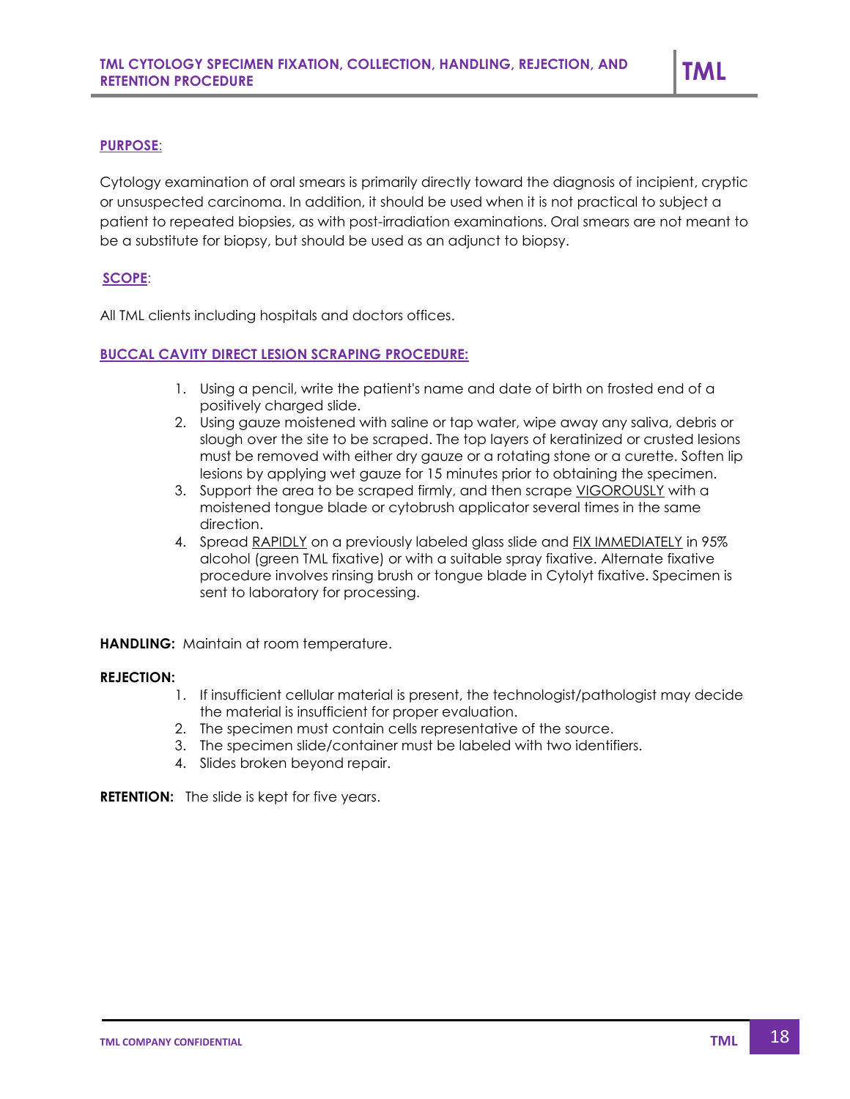Cytology examination of oral smears is primarily directly toward the diagnosis of incipient, cryptic or unsuspected carcinoma. In addition, it should be used when it is not practical to subject a patient to repeated biopsies, as with post-irradiation examinations. Oral smears are not meant to be a substitute for biopsy, but should be used as an adjunct to biopsy.

## **SCOPE**:

All TML clients including hospitals and doctors offices.

## **BUCCAL CAVITY DIRECT LESION SCRAPING PROCEDURE:**

- 1. Using a pencil, write the patient's name and date of birth on frosted end of a positively charged slide.
- 2. Using gauze moistened with saline or tap water, wipe away any saliva, debris or slough over the site to be scraped. The top layers of keratinized or crusted lesions must be removed with either dry gauze or a rotating stone or a curette. Soften lip lesions by applying wet gauze for 15 minutes prior to obtaining the specimen.
- 3. Support the area to be scraped firmly, and then scrape VIGOROUSLY with a moistened tongue blade or cytobrush applicator several times in the same direction.
- 4. Spread RAPIDLY on a previously labeled glass slide and FIX IMMEDIATELY in 95% alcohol (green TML fixative) or with a suitable spray fixative. Alternate fixative procedure involves rinsing brush or tongue blade in Cytolyt fixative. Specimen is sent to laboratory for processing.

**HANDLING:** Maintain at room temperature.

### **REJECTION:**

- 1. If insufficient cellular material is present, the technologist/pathologist may decide the material is insufficient for proper evaluation.
- 2. The specimen must contain cells representative of the source.
- 3. The specimen slide/container must be labeled with two identifiers.
- 4. Slides broken beyond repair.

**RETENTION:** The slide is kept for five years.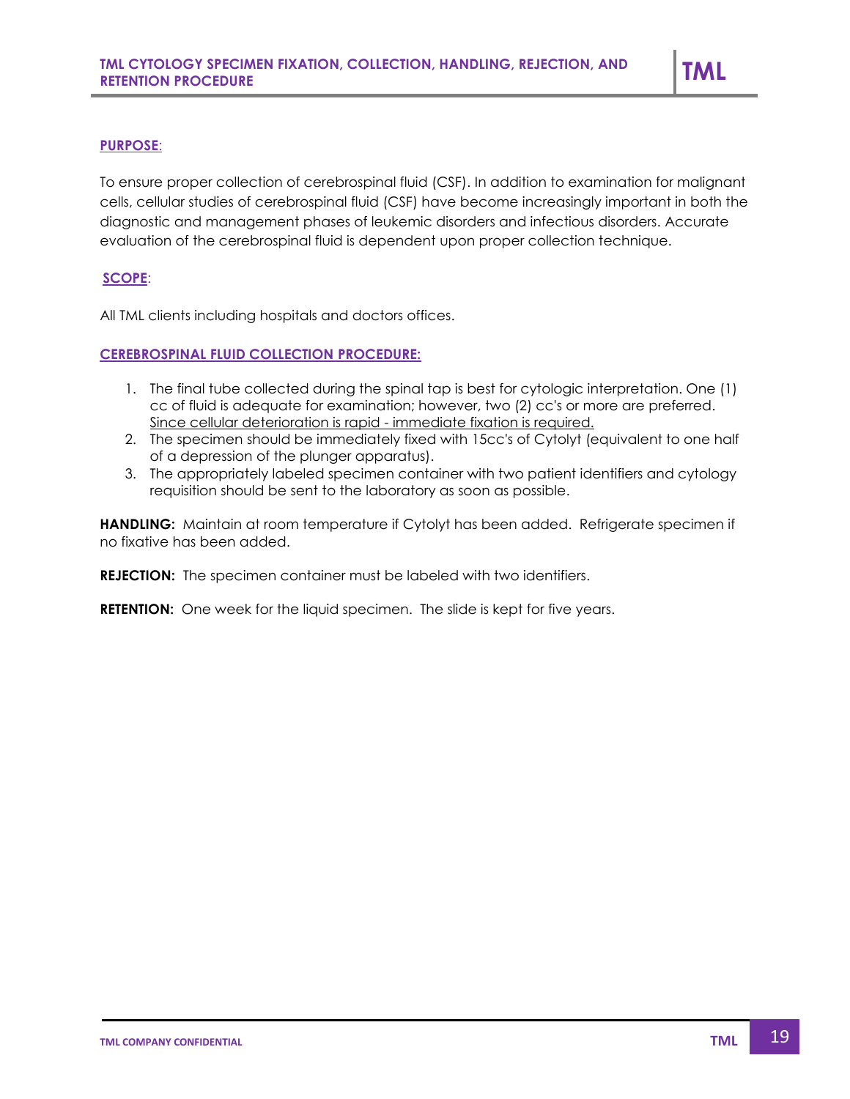To ensure proper collection of cerebrospinal fluid (CSF). In addition to examination for malignant cells, cellular studies of cerebrospinal fluid (CSF) have become increasingly important in both the diagnostic and management phases of leukemic disorders and infectious disorders. Accurate evaluation of the cerebrospinal fluid is dependent upon proper collection technique.

# **SCOPE**:

All TML clients including hospitals and doctors offices.

## **CEREBROSPINAL FLUID COLLECTION PROCEDURE:**

- 1. The final tube collected during the spinal tap is best for cytologic interpretation. One (1) cc of fluid is adequate for examination; however, two (2) cc's or more are preferred. Since cellular deterioration is rapid - immediate fixation is required.
- 2. The specimen should be immediately fixed with 15cc's of Cytolyt (equivalent to one half of a depression of the plunger apparatus).
- 3. The appropriately labeled specimen container with two patient identifiers and cytology requisition should be sent to the laboratory as soon as possible.

**HANDLING:** Maintain at room temperature if Cytolyt has been added. Refrigerate specimen if no fixative has been added.

**REJECTION:** The specimen container must be labeled with two identifiers.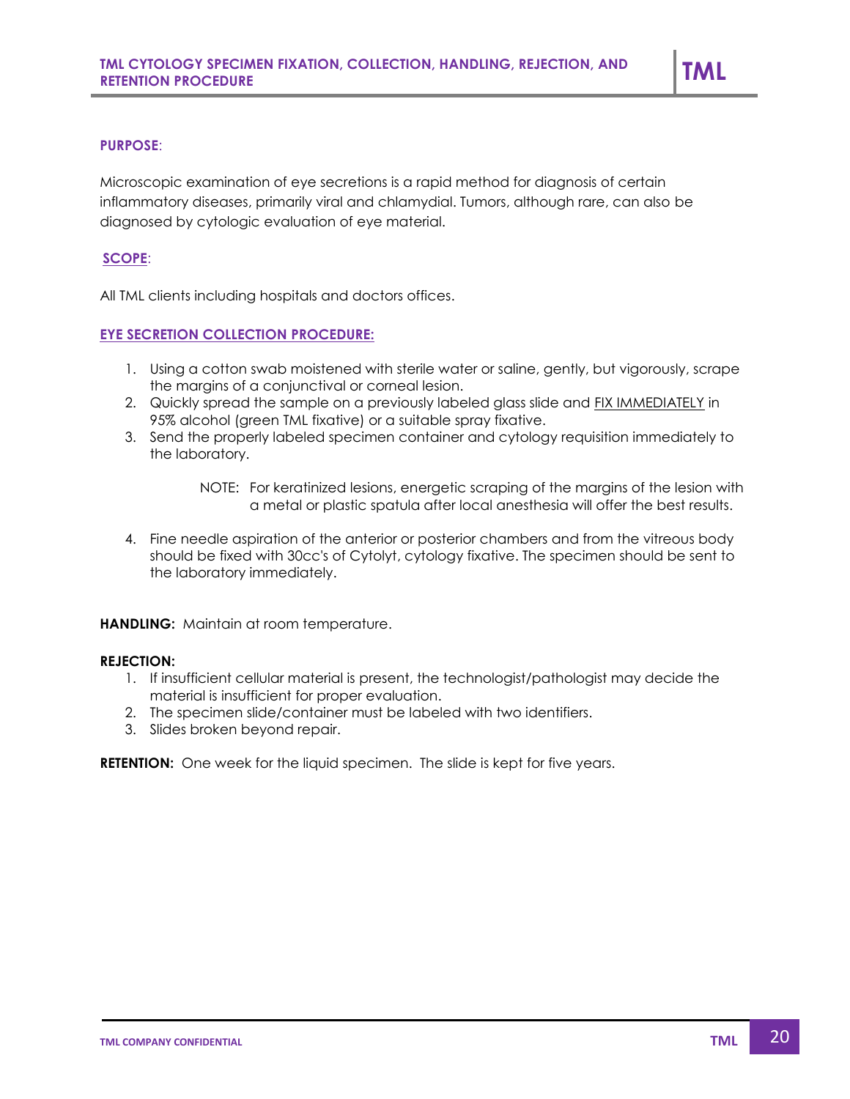Microscopic examination of eye secretions is a rapid method for diagnosis of certain inflammatory diseases, primarily viral and chlamydial. Tumors, although rare, can also be diagnosed by cytologic evaluation of eye material.

### **SCOPE**:

All TML clients including hospitals and doctors offices.

### **EYE SECRETION COLLECTION PROCEDURE:**

- 1. Using a cotton swab moistened with sterile water or saline, gently, but vigorously, scrape the margins of a conjunctival or corneal lesion.
- 2. Quickly spread the sample on a previously labeled glass slide and FIX IMMEDIATELY in 95% alcohol (green TML fixative) or a suitable spray fixative.
- 3. Send the properly labeled specimen container and cytology requisition immediately to the laboratory.

4. Fine needle aspiration of the anterior or posterior chambers and from the vitreous body should be fixed with 30cc's of Cytolyt, cytology fixative. The specimen should be sent to the laboratory immediately.

**HANDLING:** Maintain at room temperature.

#### **REJECTION:**

- 1. If insufficient cellular material is present, the technologist/pathologist may decide the material is insufficient for proper evaluation.
- 2. The specimen slide/container must be labeled with two identifiers.
- 3. Slides broken beyond repair.

NOTE: For keratinized lesions, energetic scraping of the margins of the lesion with a metal or plastic spatula after local anesthesia will offer the best results.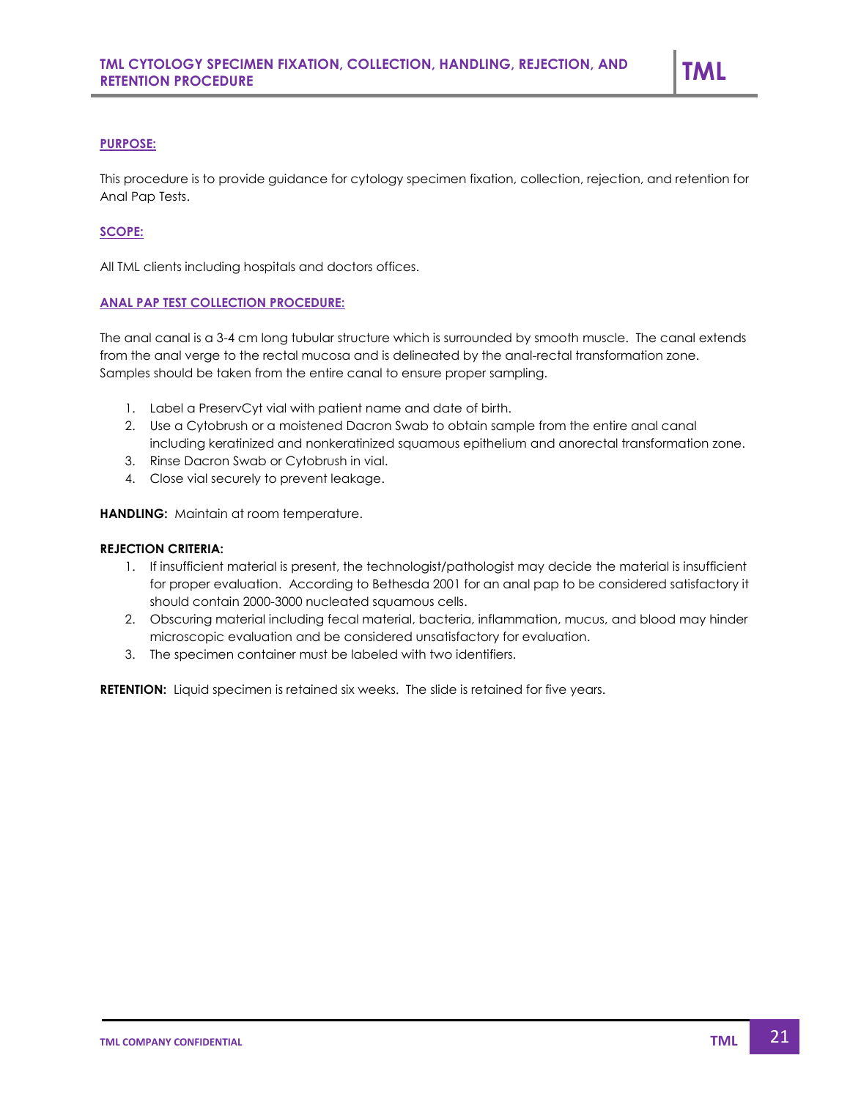This procedure is to provide guidance for cytology specimen fixation, collection, rejection, and retention for Anal Pap Tests.

#### **SCOPE:**

All TML clients including hospitals and doctors offices.

#### **ANAL PAP TEST COLLECTION PROCEDURE:**

The anal canal is a 3-4 cm long tubular structure which is surrounded by smooth muscle. The canal extends from the anal verge to the rectal mucosa and is delineated by the anal-rectal transformation zone. Samples should be taken from the entire canal to ensure proper sampling.

- 1. Label a PreservCyt vial with patient name and date of birth.
- 2. Use a Cytobrush or a moistened Dacron Swab to obtain sample from the entire anal canal including keratinized and nonkeratinized squamous epithelium and anorectal transformation zone.
- 3. Rinse Dacron Swab or Cytobrush in vial.
- 4. Close vial securely to prevent leakage.

**HANDLING:** Maintain at room temperature.

#### **REJECTION CRITERIA:**

- 1. If insufficient material is present, the technologist/pathologist may decide the material is insufficient for proper evaluation. According to Bethesda 2001 for an anal pap to be considered satisfactory it should contain 2000-3000 nucleated squamous cells.
- 2. Obscuring material including fecal material, bacteria, inflammation, mucus, and blood may hinder microscopic evaluation and be considered unsatisfactory for evaluation.
- 3. The specimen container must be labeled with two identifiers.

**RETENTION:** Liquid specimen is retained six weeks. The slide is retained for five years.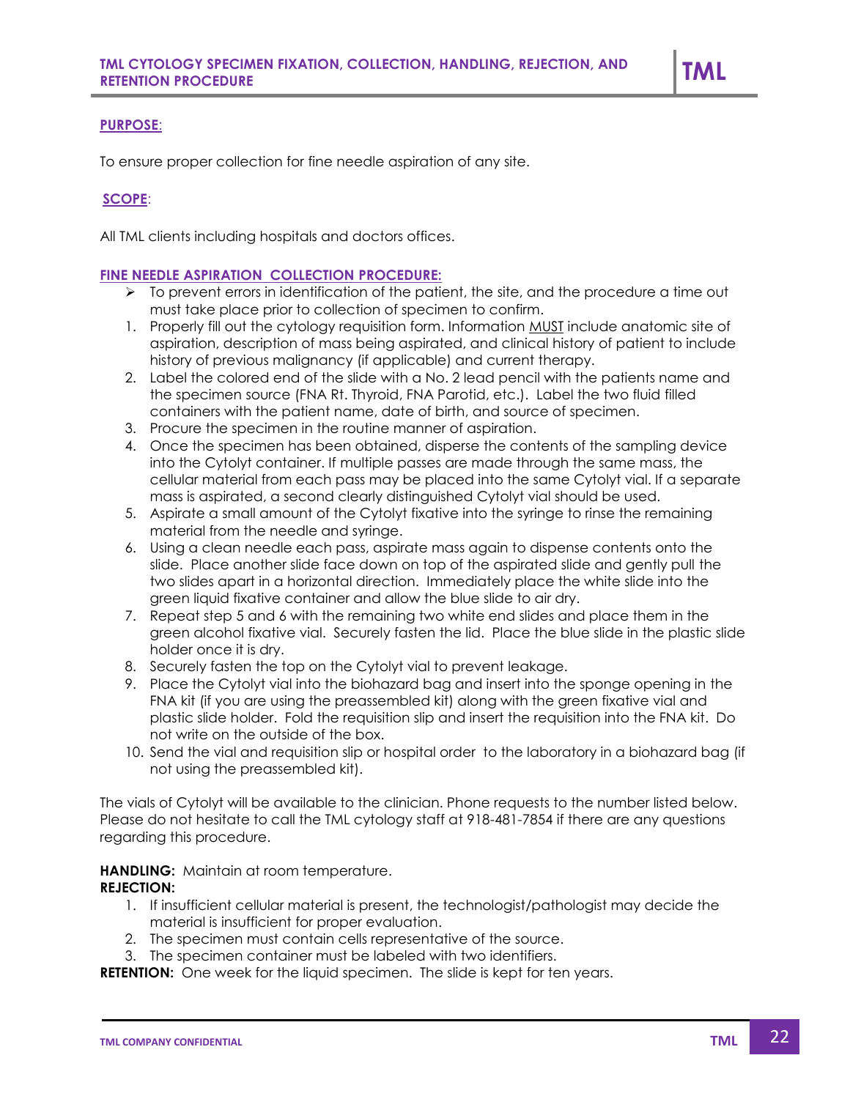To ensure proper collection for fine needle aspiration of any site.

## **SCOPE**:

All TML clients including hospitals and doctors offices.

## **FINE NEEDLE ASPIRATION COLLECTION PROCEDURE:**

- $\triangleright$  To prevent errors in identification of the patient, the site, and the procedure a time out must take place prior to collection of specimen to confirm.
- 1. Properly fill out the cytology requisition form. Information MUST include anatomic site of aspiration, description of mass being aspirated, and clinical history of patient to include history of previous malignancy (if applicable) and current therapy.
- 2. Label the colored end of the slide with a No. 2 lead pencil with the patients name and the specimen source (FNA Rt. Thyroid, FNA Parotid, etc.). Label the two fluid filled containers with the patient name, date of birth, and source of specimen.
- 3. Procure the specimen in the routine manner of aspiration.
- 4. Once the specimen has been obtained, disperse the contents of the sampling device into the Cytolyt container. If multiple passes are made through the same mass, the cellular material from each pass may be placed into the same Cytolyt vial. If a separate mass is aspirated, a second clearly distinguished Cytolyt vial should be used.
- 5. Aspirate a small amount of the Cytolyt fixative into the syringe to rinse the remaining material from the needle and syringe.
- 6. Using a clean needle each pass, aspirate mass again to dispense contents onto the slide. Place another slide face down on top of the aspirated slide and gently pull the two slides apart in a horizontal direction. Immediately place the white slide into the green liquid fixative container and allow the blue slide to air dry.
- 7. Repeat step 5 and 6 with the remaining two white end slides and place them in the green alcohol fixative vial. Securely fasten the lid. Place the blue slide in the plastic slide holder once it is dry.
- 8. Securely fasten the top on the Cytolyt vial to prevent leakage.
- 9. Place the Cytolyt vial into the biohazard bag and insert into the sponge opening in the FNA kit (if you are using the preassembled kit) along with the green fixative vial and plastic slide holder. Fold the requisition slip and insert the requisition into the FNA kit. Do not write on the outside of the box.
- 10. Send the vial and requisition slip or hospital order to the laboratory in a biohazard bag (if not using the preassembled kit).

The vials of Cytolyt will be available to the clinician. Phone requests to the number listed below. Please do not hesitate to call the TML cytology staff at 918-481-7854 if there are any questions regarding this procedure.

**HANDLING:** Maintain at room temperature.

# **REJECTION:**

- 1. If insufficient cellular material is present, the technologist/pathologist may decide the material is insufficient for proper evaluation.
- 2. The specimen must contain cells representative of the source.
- 3. The specimen container must be labeled with two identifiers.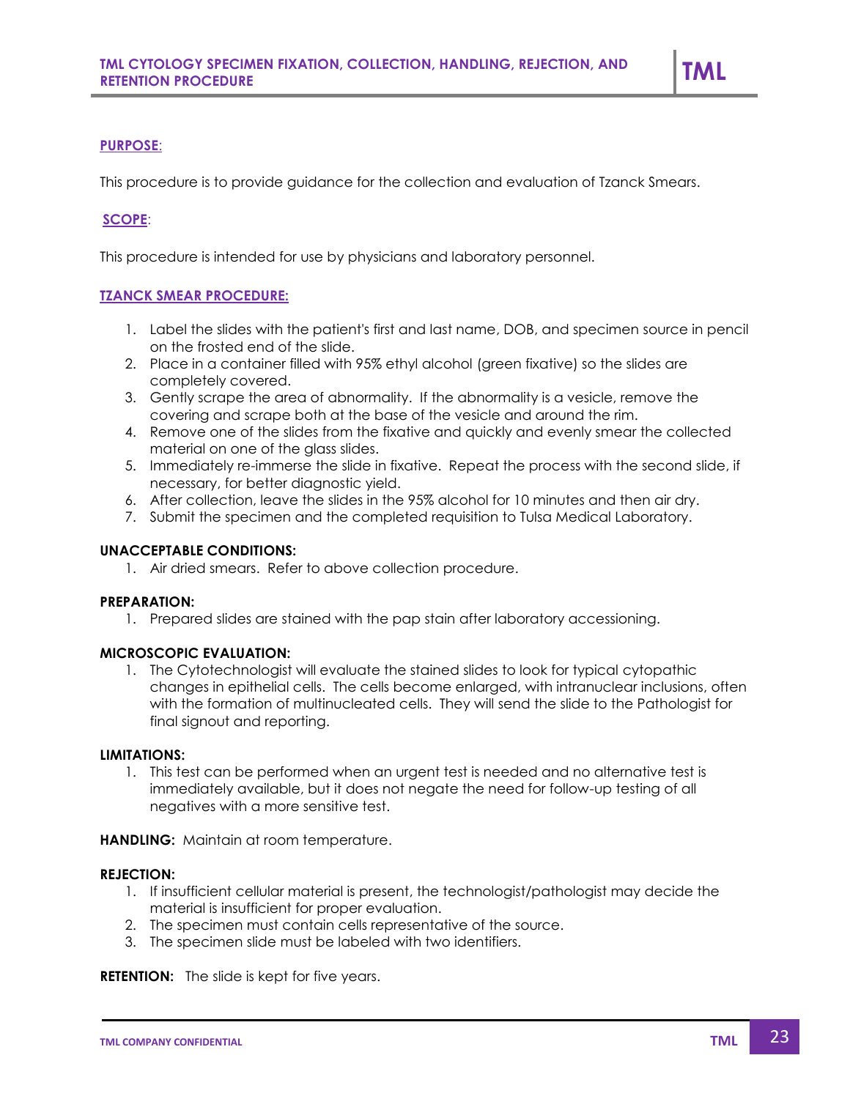This procedure is to provide guidance for the collection and evaluation of Tzanck Smears.

# **SCOPE**:

This procedure is intended for use by physicians and laboratory personnel.

## **TZANCK SMEAR PROCEDURE:**

- 1. Label the slides with the patient's first and last name, DOB, and specimen source in pencil on the frosted end of the slide.
- 2. Place in a container filled with 95% ethyl alcohol (green fixative) so the slides are completely covered.
- 3. Gently scrape the area of abnormality. If the abnormality is a vesicle, remove the covering and scrape both at the base of the vesicle and around the rim.
- 4. Remove one of the slides from the fixative and quickly and evenly smear the collected material on one of the glass slides.
- 5. Immediately re-immerse the slide in fixative. Repeat the process with the second slide, if necessary, for better diagnostic yield.
- 6. After collection, leave the slides in the 95% alcohol for 10 minutes and then air dry.
- 7. Submit the specimen and the completed requisition to Tulsa Medical Laboratory.

## **UNACCEPTABLE CONDITIONS:**

1. Air dried smears. Refer to above collection procedure.

## **PREPARATION:**

1. Prepared slides are stained with the pap stain after laboratory accessioning.

### **MICROSCOPIC EVALUATION:**

1. The Cytotechnologist will evaluate the stained slides to look for typical cytopathic changes in epithelial cells. The cells become enlarged, with intranuclear inclusions, often with the formation of multinucleated cells. They will send the slide to the Pathologist for final signout and reporting.

### **LIMITATIONS:**

1. This test can be performed when an urgent test is needed and no alternative test is immediately available, but it does not negate the need for follow-up testing of all negatives with a more sensitive test.

**HANDLING:** Maintain at room temperature.

#### **REJECTION:**

- 1. If insufficient cellular material is present, the technologist/pathologist may decide the material is insufficient for proper evaluation.
- 2. The specimen must contain cells representative of the source.
- 3. The specimen slide must be labeled with two identifiers.

**RETENTION:** The slide is kept for five years.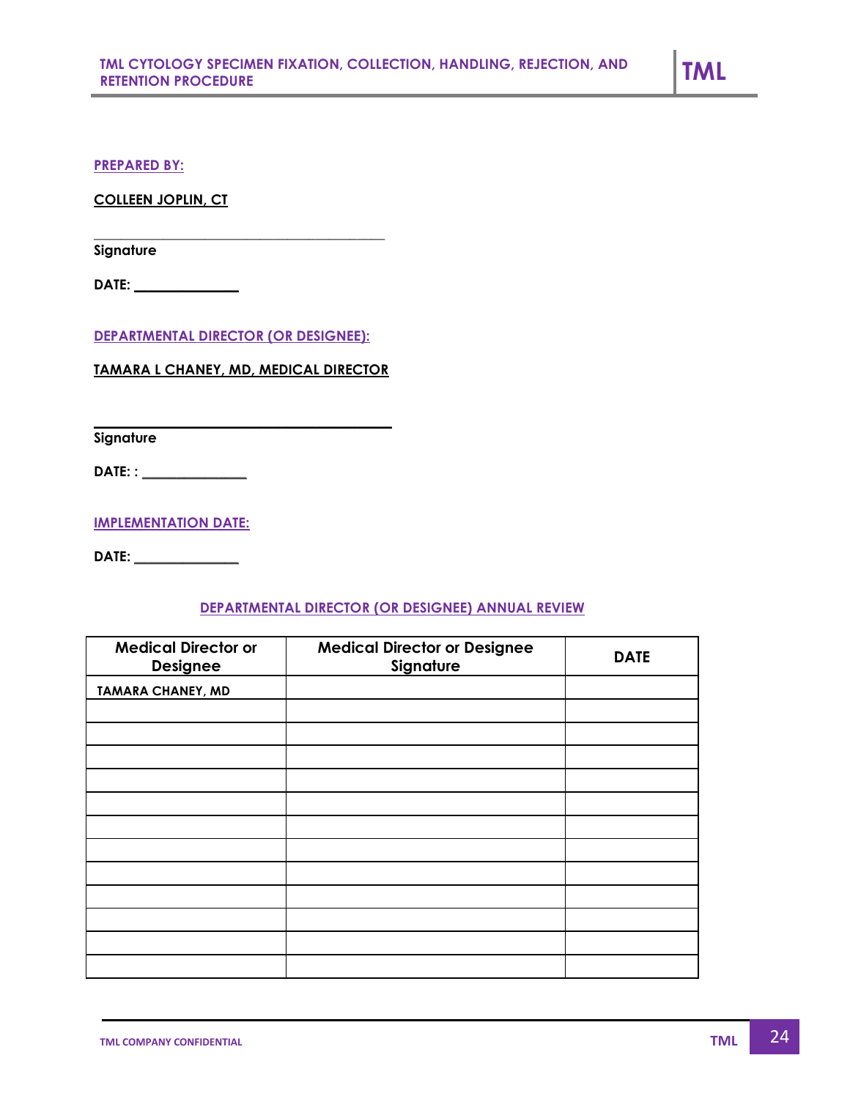### **PREPARED BY:**

**COLLEEN JOPLIN, CT**

**Signature** 

**DATE: \_\_\_\_\_\_\_\_\_\_\_\_\_\_\_** 

**DEPARTMENTAL DIRECTOR (OR DESIGNEE):**

**\_\_\_\_\_\_\_\_\_\_\_\_\_\_\_\_\_\_\_\_\_\_\_\_\_\_\_\_\_\_\_\_\_\_\_\_\_\_\_\_\_\_**

**TAMARA L CHANEY, MD, MEDICAL DIRECTOR**

**\_\_\_\_\_\_\_\_\_\_\_\_\_\_\_\_\_\_\_\_\_\_\_\_\_\_\_\_\_\_\_\_\_\_\_\_\_\_\_\_\_\_\_**

**Signature**

**DATE: : \_\_\_\_\_\_\_\_\_\_\_\_\_\_\_** 

**IMPLEMENTATION DATE:**

**DATE: \_\_\_\_\_\_\_\_\_\_\_\_\_\_\_**

### **DEPARTMENTAL DIRECTOR (OR DESIGNEE) ANNUAL REVIEW**

| <b>Medical Director or</b><br><b>Designee</b> | <b>Medical Director or Designee</b><br>Signature | <b>DATE</b> |
|-----------------------------------------------|--------------------------------------------------|-------------|
| <b>TAMARA CHANEY, MD</b>                      |                                                  |             |
|                                               |                                                  |             |
|                                               |                                                  |             |
|                                               |                                                  |             |
|                                               |                                                  |             |
|                                               |                                                  |             |
|                                               |                                                  |             |
|                                               |                                                  |             |
|                                               |                                                  |             |
|                                               |                                                  |             |
|                                               |                                                  |             |
|                                               |                                                  |             |
|                                               |                                                  |             |